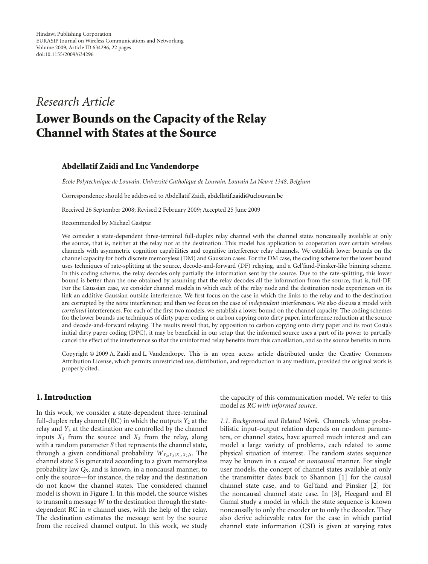## *Research Article*

# **Lower Bounds on the Capacity of the Relay Channel with States at the Source**

## **Abdellatif Zaidi and Luc Vandendorpe**

*Ecole Polytechnique de Louvain, Universit ´ ´e Catholique de Louvain, Louvain La Neuve 1348, Belgium*

Correspondence should be addressed to Abdellatif Zaidi, abdellatif.zaidi@uclouvain.be

Received 26 September 2008; Revised 2 February 2009; Accepted 25 June 2009

Recommended by Michael Gastpar

We consider a state-dependent three-terminal full-duplex relay channel with the channel states noncausally available at only the source, that is, neither at the relay nor at the destination. This model has application to cooperation over certain wireless channels with asymmetric cognition capabilities and cognitive interference relay channels. We establish lower bounds on the channel capacity for both discrete memoryless (DM) and Gaussian cases. For the DM case, the coding scheme for the lower bound uses techniques of rate-splitting at the source, decode-and-forward (DF) relaying, and a Gel'fand-Pinsker-like binning scheme. In this coding scheme, the relay decodes only partially the information sent by the source. Due to the rate-splitting, this lower bound is better than the one obtained by assuming that the relay decodes all the information from the source, that is, full-DF. For the Gaussian case, we consider channel models in which each of the relay node and the destination node experiences on its link an additive Gaussian outside interference. We first focus on the case in which the links to the relay and to the destination are corrupted by the *same* interference; and then we focus on the case of *independent* interferences. We also discuss a model with *correlated* interferences. For each of the first two models, we establish a lower bound on the channel capacity. The coding schemes for the lower bounds use techniques of dirty paper coding or carbon copying onto dirty paper, interference reduction at the source and decode-and-forward relaying. The results reveal that, by opposition to carbon copying onto dirty paper and its root Costa's initial dirty paper coding (DPC), it may be beneficial in our setup that the informed source uses a part of its power to partially cancel the effect of the interference so that the uninformed relay benefits from this cancellation, and so the source benefits in turn.

Copyright © 2009 A. Zaidi and L. Vandendorpe. This is an open access article distributed under the Creative Commons Attribution License, which permits unrestricted use, distribution, and reproduction in any medium, provided the original work is properly cited.

## **1. Introduction**

In this work, we consider a state-dependent three-terminal full-duplex relay channel (RC) in which the outputs  $Y_2$  at the relay and *Y*<sub>3</sub> at the destination are controlled by the channel inputs  $X_1$  from the source and  $X_2$  from the relay, along with a random parameter *S* that represents the channel state, through a given conditional probability  $W_{Y_2, Y_3|X_1, X_2, S}$ . The channel state *S* is generated according to a given memoryless probability law *QS*, and is known, in a noncausal manner, to only the source—for instance, the relay and the destination do not know the channel states. The considered channel model is shown in Figure 1. In this model, the source wishes to transmit a message *W* to the destination through the statedependent RC in *n* channel uses, with the help of the relay. The destination estimates the message sent by the source from the received channel output. In this work, we study the capacity of this communication model. We refer to this model as *RC with informed source*.

*1.1. Background and Related Work.* Channels whose probabilistic input-output relation depends on random parameters, or channel states, have spurred much interest and can model a large variety of problems, each related to some physical situation of interest. The random states sequence may be known in a *causal* or *noncausal* manner. For single user models, the concept of channel states available at only the transmitter dates back to Shannon [1] for the causal channel state case, and to Gel'fand and Pinsker [2] for the noncausal channel state case. In [3], Heegard and El Gamal study a model in which the state sequence is known noncausally to only the encoder or to only the decoder. They also derive achievable rates for the case in which partial channel state information (CSI) is given at varying rates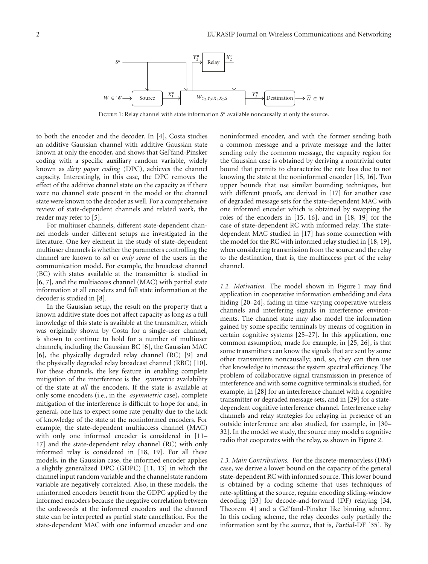

FIGURE 1: Relay channel with state information  $S<sup>n</sup>$  available noncausally at only the source.

to both the encoder and the decoder. In [4], Costa studies an additive Gaussian channel with additive Gaussian state known at only the encoder, and shows that Gel'fand-Pinsker coding with a specific auxiliary random variable, widely known as *dirty paper coding* (DPC), achieves the channel capacity. Interestingly, in this case, the DPC removes the effect of the additive channel state on the capacity as if there were no channel state present in the model or the channel state were known to the decoder as well. For a comprehensive review of state-dependent channels and related work, the reader may refer to [5].

For multiuser channels, different state-dependent channel models under different setups are investigated in the literature. One key element in the study of state-dependent multiuser channels is whether the parameters controlling the channel are known to *all* or *only some* of the users in the communication model. For example, the broadcast channel (BC) with states available at the transmitter is studied in [6, 7], and the multiaccess channel (MAC) with partial state information at all encoders and full state information at the decoder is studied in [8].

In the Gaussian setup, the result on the property that a known additive state does not affect capacity as long as a full knowledge of this state is available at the transmitter, which was originally shown by Costa for a single-user channel, is shown to continue to hold for a number of multiuser channels, including the Gaussian BC [6], the Gaussian MAC [6], the physically degraded relay channel (RC) [9] and the physically degraded relay broadcast channel (RBC) [10]. For these channels, the key feature in enabling complete mitigation of the interference is the *symmetric* availability of the state at *all* the encoders. If the state is available at only some encoders (i.e., in the *asymmetric* case), complete mitigation of the interference is difficult to hope for and, in general, one has to expect some rate penalty due to the lack of knowledge of the state at the noninformed encoders. For example, the state-dependent multiaccess channel (MAC) with only one informed encoder is considered in [11– 17] and the state-dependent relay channel (RC) with only informed relay is considered in [18, 19]. For all these models, in the Gaussian case, the informed encoder applies a slightly generalized DPC (GDPC) [11, 13] in which the channel input random variable and the channel state random variable are negatively correlated. Also, in these models, the uninformed encoders benefit from the GDPC applied by the informed encoders because the negative correlation between the codewords at the informed encoders and the channel state can be interpreted as partial state cancellation. For the state-dependent MAC with one informed encoder and one

noninformed encoder, and with the former sending both a common message and a private message and the latter sending only the common message, the capacity region for the Gaussian case is obtained by deriving a nontrivial outer bound that permits to characterize the rate loss due to not knowing the state at the noninformed encoder [15, 16]. Two upper bounds that use similar bounding techniques, but with different proofs, are derived in [17] for another case of degraded message sets for the state-dependent MAC with one informed encoder which is obtained by swapping the roles of the encoders in [15, 16], and in [18, 19] for the case of state-dependent RC with informed relay. The statedependent MAC studied in [17] has some connection with the model for the RC with informed relay studied in [18, 19], when considering transmission from the source and the relay to the destination, that is, the multiaccess part of the relay channel.

*1.2. Motivation.* The model shown in Figure 1 may find application in cooperative information embedding and data hiding [20–24], fading in time-varying cooperative wireless channels and interfering signals in interference environments. The channel state may also model the information gained by some specific terminals by means of cognition in certain cognitive systems [25–27]. In this application, one common assumption, made for example, in [25, 26], is that some transmitters can know the signals that are sent by some other transmitters noncausally; and, so, they can then use that knowledge to increase the system spectral efficiency. The problem of collaborative signal transmission in presence of interference and with some cognitive terminals is studied, for example, in [28] for an interference channel with a cognitive transmitter or degraded message sets, and in [29] for a statedependent cognitive interference channel. Interference relay channels and relay strategies for relaying in presence of an outside interference are also studied, for example, in [30– 32]. In the model we study, the source may model a cognitive radio that cooperates with the relay, as shown in Figure 2.

*1.3. Main Contributions.* For the discrete-memoryless (DM) case, we derive a lower bound on the capacity of the general state-dependent RC with informed source. This lower bound is obtained by a coding scheme that uses techniques of rate-splitting at the source, regular encoding sliding-window decoding [33] for decode-and-forward (DF) relaying [34, Theorem 4] and a Gel'fand-Pinsker like binning scheme. In this coding scheme, the relay decodes only partially the information sent by the source, that is, *Partial-*DF [35]. By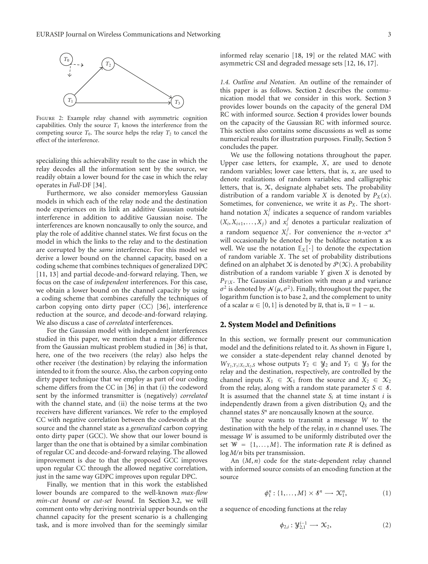

Figure 2: Example relay channel with asymmetric cognition capabilities. Only the source  $T_1$  knows the interference from the competing source  $T_0$ . The source helps the relay  $T_2$  to cancel the effect of the interference.

specializing this achievability result to the case in which the relay decodes all the information sent by the source, we readily obtain a lower bound for the case in which the relay operates in *Full-*DF [34].

Furthermore, we also consider memoryless Gaussian models in which each of the relay node and the destination node experiences on its link an additive Gaussian outside interference in addition to additive Gaussian noise. The interferences are known noncausally to only the source, and play the role of additive channel states. We first focus on the model in which the links to the relay and to the destination are corrupted by the *same* interference. For this model we derive a lower bound on the channel capacity, based on a coding scheme that combines techniques of generalized DPC [11, 13] and partial decode-and-forward relaying. Then, we focus on the case of *independent* interferences. For this case, we obtain a lower bound on the channel capacity by using a coding scheme that combines carefully the techniques of carbon copying onto dirty paper (CC) [36], interference reduction at the source, and decode-and-forward relaying. We also discuss a case of *correlated* interferences.

For the Gaussian model with independent interferences studied in this paper, we mention that a major difference from the Gaussian multicast problem studied in [36] is that, here, one of the two receivers (the relay) also helps the other receiver (the destination) by relaying the information intended to it from the source. Also, the carbon copying onto dirty paper technique that we employ as part of our coding scheme differs from the CC in [36] in that (i) the codeword sent by the informed transmitter is (negatively) *correlated* with the channel state, and (ii) the noise terms at the two receivers have different variances. We refer to the employed CC with negative correlation between the codewords at the source and the channel state as a *generalized* carbon copying onto dirty paper (GCC). We show that our lower bound is larger than the one that is obtained by a similar combination of regular CC and decode-and-forward relaying. The allowed improvement is due to that the proposed GCC improves upon regular CC through the allowed negative correlation, just in the same way GDPC improves upon regular DPC.

Finally, we mention that in this work the established lower bounds are compared to the well-known *max-flow min-cut bound* or *cut-set bound*. In Section 3.2, we will comment onto why deriving nontrivial upper bounds on the channel capacity for the present scenario is a challenging task, and is more involved than for the seemingly similar

informed relay scenario [18, 19] or the related MAC with asymmetric CSI and degraded message sets [12, 16, 17].

*1.4. Outline and Notation.* An outline of the remainder of this paper is as follows. Section 2 describes the communication model that we consider in this work. Section 3 provides lower bounds on the capacity of the general DM RC with informed source. Section 4 provides lower bounds on the capacity of the Gaussian RC with informed source. This section also contains some discussions as well as some numerical results for illustration purposes. Finally, Section 5 concludes the paper.

We use the following notations throughout the paper. Upper case letters, for example, *X*, are used to denote random variables; lower case letters, that is, *x*, are used to denote realizations of random variables; and calligraphic letters, that is,  $X$ , designate alphabet sets. The probability distribution of a random variable *X* is denoted by  $P_X(x)$ . Sometimes, for convenience, we write it as *PX*. The shorthand notation  $X_i^j$  indicates a sequence of random variables  $(X_i, X_{i+1}, \ldots, X_j)$  and  $x_i^j$  denotes a particular realization of a random sequence  $X_i^j$ . For convenience the *n*-vector  $x^n$ will occasionally be denoted by the boldface notation **x** as well. We use the notation  $\mathbb{E}_X[\cdot]$  to denote the expectation of random variable *X*. The set of probability distributions defined on an alphabet X is denoted by  $\mathcal{P}(\mathcal{X})$ . A probability distribution of a random variable *Y* given *X* is denoted by  $P_{Y|X}$ . The Gaussian distribution with mean  $\mu$  and variance *σ*<sup>2</sup> is denoted by  $N(\mu, σ^2)$ . Finally, throughout the paper, the logarithm function is to base 2, and the complement to unity of a scalar  $u \in [0, 1]$  is denoted by  $\overline{u}$ , that is,  $\overline{u} = 1 - u$ .

## **2. System Model and Definitions**

In this section, we formally present our communication model and the definitions related to it. As shown in Figure 1, we consider a state-dependent relay channel denoted by  $W_{Y_2, Y_3|X_1, X_2, S}$  whose outputs  $Y_2 \in \mathcal{Y}_2$  and  $Y_3 \in \mathcal{Y}_3$  for the relay and the destination, respectively, are controlled by the channel inputs  $X_1 \in \mathcal{X}_1$  from the source and  $X_2 \in \mathcal{X}_2$ from the relay, along with a random state parameter  $S \in \mathcal{S}$ . It is assumed that the channel state  $S_i$  at time instant *i* is independently drawn from a given distribution  $Q_S$  and the channel states *Sn* are noncausally known at the source.

The source wants to transmit a message *W* to the destination with the help of the relay, in *n* channel uses. The message *W* is assumed to be uniformly distributed over the set  $W = \{1, \ldots, M\}$ . The information rate *R* is defined as log *M/n* bits per transmission.

An (*M*, *n*) code for the state-dependent relay channel with informed source consists of an encoding function at the source

$$
\phi_1^n: \{1, \ldots, M\} \times \mathcal{S}^n \longrightarrow \mathcal{X}_1^n,\tag{1}
$$

a sequence of encoding functions at the relay

$$
\phi_{2,i}: \mathcal{Y}_{2,1}^{i-1} \longrightarrow \mathcal{X}_2,\tag{2}
$$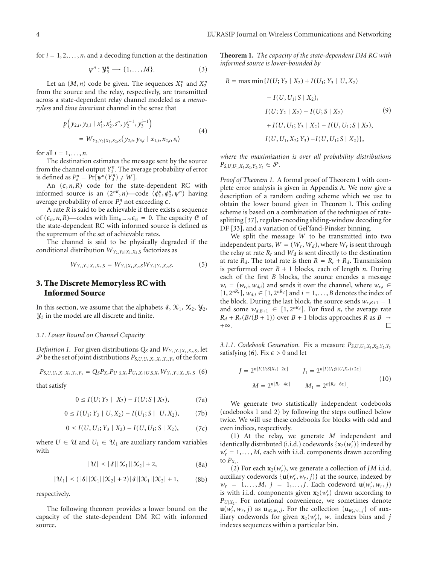for  $i = 1, 2, \ldots, n$ , and a decoding function at the destination

$$
\psi^n: \mathcal{Y}_3^n \longrightarrow \{1, \dots, M\}.
$$
 (3)

Let an  $(M, n)$  code be given. The sequences  $X_1^n$  and  $X_2^n$ from the source and the relay, respectively, are transmitted across a state-dependent relay channel modeled as a *memoryless* and *time invariant* channel in the sense that

$$
p(y_{2,i}, y_{3,i} | x_1^i, x_2^i, s^n, y_2^{i-1}, y_3^{i-1})
$$
  
=  $W_{Y_2, Y_3 | X_1, X_2, S}(y_{2,i}, y_{3,i} | x_{1,i}, x_{2,i}, s_i)$  (4)

for all  $i = 1, \ldots, n$ .

The destination estimates the message sent by the source from the channel output *Y<sup>n</sup>* <sup>3</sup> . The average probability of error is defined as  $P_e^n = \Pr[\psi^n(Y_3^n) \neq W]$ .

An  $(\epsilon, n, R)$  code for the state-dependent RC with informed source is an  $(2^{nR}, n)$ —code  $(\phi_1^n, \phi_2^n, \psi^n)$  having average probability of error  $P_e^n$  not exceeding  $\epsilon$ .

A rate *R* is said to be achievable if there exists a sequence of  $(\epsilon_n, n, R)$ —codes with  $\lim_{n \to \infty} \epsilon_n = 0$ . The capacity C of the state-dependent RC with informed source is defined as the supremum of the set of achievable rates.

The channel is said to be physically degraded if the conditional distribution  $W_{Y_2, Y_3|X_1, X_2, S}$  factorizes as

$$
W_{Y_2,Y_3|X_1,X_2,S} = W_{Y_2|X_1,X_2,S} W_{Y_3|Y_2,X_2,S}.
$$
 (5)

## **3. The Discrete Memoryless RC with Informed Source**

In this section, we assume that the alphabets  $\mathcal{S}, \mathcal{X}_1, \mathcal{X}_2, \mathcal{Y}_2$ ,  $\mathcal{Y}_3$  in the model are all discrete and finite.

#### *3.1. Lower Bound on Channel Capacity*

*Definition 1.* For given distributions  $Q_S$  and  $W_{Y_2, Y_3|X_1, X_2, S}$ , let  $\mathcal{P}$  be the set of joint distributions  $P_{S,U,U_1,X_1,X_2,Y_2,Y_3}$  of the form

$$
P_{S,U,U_1,X_1,X_2,Y_2,Y_3} = Q_S P_{X_2} P_{U|S,X_2} P_{U_1,X_1|U,S,X_2} W_{Y_2,Y_3|X_1,X_2,S} \tag{6}
$$

that satisfy

$$
0 \le I(U; Y_2 | X_2) - I(U; S | X_2), \tag{7a}
$$

$$
0 \le I(U_1; Y_3 \mid U, X_2) - I(U_1; S \mid U, X_2), \tag{7b}
$$

$$
0 \leq I(U, U_1; Y_3 | X_2) - I(U, U_1; S | X_2), \tag{7c}
$$

where  $U \in \mathcal{U}$  and  $U_1 \in \mathcal{U}_1$  are auxiliary random variables with

$$
|\mathcal{U}| \leq |\mathcal{S}| |\mathcal{X}_1| |\mathcal{X}_2| + 2, \tag{8a}
$$

$$
|\mathcal{U}_1| \le (|\mathcal{S}||\mathcal{X}_1||\mathcal{X}_2| + 2)|\mathcal{S}||\mathcal{X}_1||\mathcal{X}_2| + 1, \qquad (8b)
$$

respectively.

The following theorem provides a lower bound on the capacity of the state-dependent DM RC with informed source.

**Theorem 1.** *The capacity of the state-dependent DM RC with informed source is lower-bounded by*

$$
R = \max \min \{ I(U; Y_2 | X_2) + I(U_1; Y_3 | U, X_2) - I(U, U_1; S | X_2),
$$
  
\n
$$
I(U; Y_2 | X_2) - I(U; S | X_2)
$$
(9)  
\n
$$
+ I(U, U_1; Y_3 | X_2) - I(U, U_1; S | X_2),
$$
  
\n
$$
I(U, U_1, X_2; Y_3) - I(U, U_1; S | X_2) \},
$$

*where the maximization is over all probability distributions*  $P_{S,U,U_1,X_1,X_2,Y_2,Y_3} \in \mathcal{P}$ .

*Proof of Theorem 1.* A formal proof of Theorem 1 with complete error analysis is given in Appendix A. We now give a description of a random coding scheme which we use to obtain the lower bound given in Theorem 1. This coding scheme is based on a combination of the techniques of ratesplitting [37], regular-encoding sliding-window decoding for DF [33], and a variation of Gel'fand-Pinsker binning.

We split the message *W* to be transmitted into two independent parts,  $W = (W_r, W_d)$ , where  $W_r$  is sent through the relay at rate  $R_r$  and  $W_d$  is sent directly to the destination at rate  $R_d$ . The total rate is then  $R = R_r + R_d$ . Transmission is performed over  $B + 1$  blocks, each of length *n*. During each of the first *B* blocks, the source encodes a message  $w_i = (w_{r,i}, w_{d,i})$  and sends it over the channel, where  $w_{r,i} \in$  $[1, 2^{nR_r}]$ ,  $w_{d,i} \in [1, 2^{nR_d}]$  and  $i = 1, ..., B$  denotes the index of the block. During the last block, the source sends  $w_{r,B+1} = 1$ and some  $w_{d,B+1} \in [1, 2^{nR_d}]$ . For fixed *n*, the average rate  $R_d + R_r(B/(B+1))$  over  $B + 1$  blocks approaches  $R$  as  $B \rightarrow +\infty$  $+\infty$ .

*3.1.1. Codebook Generation.* Fix a measure *PS*,*U*,*U*1,*X*1,*X*2,*Y*2,*Y*<sup>3</sup> satisfying (6). Fix  $\epsilon > 0$  and let

$$
J = 2^{n[I(U;S|X_2) + 2\epsilon]} \qquad J_1 = 2^{n[I(U_1;S|U,X_2) + 2\epsilon]}
$$
  

$$
M = 2^{n[R_r - 4\epsilon]} \qquad M_1 = 2^{n[R_d - 6\epsilon]}.
$$

$$
(10)
$$

We generate two statistically independent codebooks (codebooks 1 and 2) by following the steps outlined below twice. We will use these codebooks for blocks with odd and even indices, respectively.

(1) At the relay, we generate *M* independent and identically distributed (i.i.d.) codewords {**x**2(*w <sup>r</sup>*)} indexed by  $w'_r = 1, \ldots, M$ , each with i.i.d. components drawn according to  $P_X$ .

(2) For each  $\mathbf{x}_2(w'_r)$ , we generate a collection of *JM* i.i.d. auxiliary codewords  $\{u(w'_r, w_r, j)\}\$  at the source, indexed by  $w_r = 1, \ldots, M, j = 1, \ldots, J$ . Each codeword  $\mathbf{u}(w'_r, w_r, j)$ is with i.i.d. components given  $\mathbf{x}_2(w'_r)$  drawn according to  $P_{U|X_2}$ . For notational convenience, we sometimes denote  $\mathbf{u}(w_r', w_r, j)$  as  $\mathbf{u}_{w_r', w_r, j}$ . For the collection  $\{\mathbf{u}_{w_r', w_r, j}\}$  of auxiliary codewords for given  $\mathbf{x}_2(w'_r)$ ,  $w_r$  indexes bins and *j* indexes sequences within a particular bin.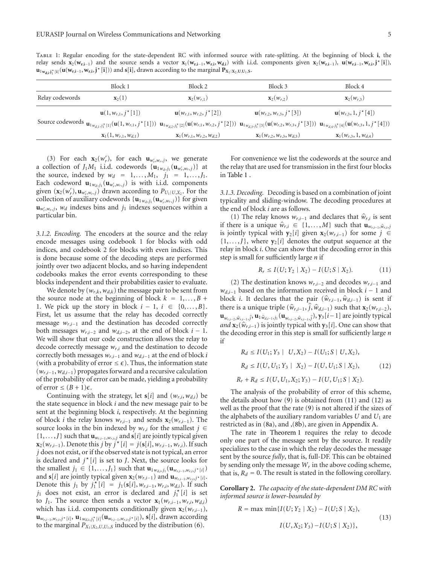Table 1: Regular encoding for the state-dependent RC with informed source with rate-splitting. At the beginning of block **i**, the relay sends  $\mathbf{x}_2(\mathbf{w}_{\mathbf{r},\mathbf{i}-1})$  and the source sends a vector  $\mathbf{x}_1(\mathbf{w}_{\mathbf{r},\mathbf{i}-1},\mathbf{w}_{\mathbf{r},\mathbf{i}},\mathbf{w}_{\mathbf{d},\mathbf{i}})$  with i.i.d. components given  $\mathbf{x}_2(\mathbf{w}_{\mathbf{r},\mathbf{i}-1},\mathbf{w}_{\mathbf{r},\mathbf{i}})$ ,  $\mathbf{u}(\mathbf{w$  $\mathbf{u}_{1_{\mathbf{w}_{\mathbf{d},\mathbf{i}}}\mathbf{j}_1^{\star}\text{[i]}}(\mathbf{u}(\mathbf{w}_{\mathbf{r},\mathbf{i-1}},\mathbf{w}_{\mathbf{r},\mathbf{i}},\mathbf{j}^{\star}\text{[i]}))$  and  $\mathbf{s}[\mathbf{i}]$ , drawn according to the marginal  $\mathbf{P}_{\mathbf{X}_1|\mathbf{X}_2,\mathbf{U},\mathbf{U}_1,\mathbf{S}}$ .

|                 | Block 1                                | Block 2                                      | Block 3                                                                                                                                                                                                                                                                                                                                        | Block 4                                |
|-----------------|----------------------------------------|----------------------------------------------|------------------------------------------------------------------------------------------------------------------------------------------------------------------------------------------------------------------------------------------------------------------------------------------------------------------------------------------------|----------------------------------------|
| Relay codewords | ${\bf x}_2(1)$                         | $\mathbf{x}_2(w_{r,1})$                      | $\mathbf{x}_2(w_{r,2})$                                                                                                                                                                                                                                                                                                                        | ${\bf x}_2(w_{r,3})$                   |
|                 | $\mathbf{u}(1, w_{r,1}, j^{\star}[1])$ | $\mathbf{u}(w_{r,1}, w_{r,2}, j^{\star}[2])$ | $\mathbf{u}(w_{r,2}, w_{r,3}, j^{\star}[3])$                                                                                                                                                                                                                                                                                                   | $\mathbf{u}(w_{r,3}, 1, j^{\star}[4])$ |
|                 |                                        |                                              | Source codewords $\mathbf{u}_{1_{W_{d,1},j_1^{\star}}[1]}(\mathbf{u}(1,w_{r,1},j^{\star}[1])) \mathbf{u}_{1_{W_{d,2},j_1^{\star}[2]}}(\mathbf{u}(w_{r,1},w_{r,2},j^{\star}[2])) \mathbf{u}_{1_{W_{d,3},j_1^{\star}[3]}}(\mathbf{u}(w_{r,2},w_{r,3},j^{\star}[3])) \mathbf{u}_{1_{W_{d,4},j_1^{\star}[4]}}(\mathbf{u}(w_{r,3},1,j^{\star}[4]))$ |                                        |
|                 | $\mathbf{x}_1(1, w_{r,1}, w_{d,1})$    | $\mathbf{x}_1(w_{r,1}, w_{r,2}, w_{d,2})$    | $\mathbf{x}_{1}(w_{r,2}, w_{r,3}, w_{d,3})$                                                                                                                                                                                                                                                                                                    | $\mathbf{x}_{1}(w_{r,3},1,w_{d,4})$    |

(3) For each  $\mathbf{x}_2(w'_r)$ , for each  $\mathbf{u}_{w'_r,w_r,j}$ , we generate a collection of  $J_1M_1$  i.i.d. codewords  $\{\mathbf{u}_{1w_d,j_1}(\mathbf{u}_{w'_r,w_r,j})\}$  at the source, indexed by  $w_d = 1, ..., M_1, j_1 = 1, ..., J_1$ . Each codeword  $\mathbf{u}_{1 w_d, j_1}(\mathbf{u}_{w'_r, w_r, j})$  is with i.i.d. components given  $(\mathbf{x}_2(w'_r), \mathbf{u}_{w'_r,w_r,j})$  drawn according to  $P_{U_1|U,X_2}$ . For the collection of auxiliary codewords  $\{ \mathbf{u}_{1 w_d, j_1}(\mathbf{u}_{w'_r, w_r, j}) \}$  for given  $\mathbf{u}_{w_r',w_r,j}$ ,  $w_d$  indexes bins and  $j_1$  indexes sequences within a particular bin.

*3.1.2. Encoding.* The encoders at the source and the relay encode messages using codebook 1 for blocks with odd indices, and codebook 2 for blocks with even indices. This is done because some of the decoding steps are performed jointly over two adjacent blocks, and so having independent codebooks makes the error events corresponding to these blocks independent and their probabilities easier to evaluate.

We denote by  $(w_{r,k}, w_{d,k})$  the message pair to be sent from the source node at the beginning of block  $k = 1, \ldots, B + \infty$ 1. We pick up the story in block  $i - 1$ ,  $i \in \{0, \ldots, B\}$ . First, let us assume that the relay has decoded correctly message  $w_{r,i-1}$  and the destination has decoded correctly both messages  $w_{r,i-2}$  and  $w_{d,i-2}$ , at the end of block  $i-1$ . We will show that our code construction allows the relay to decode correctly message  $w_{r,i}$  and the destination to decode correctly both messages  $w_{r,i-1}$  and  $w_{d,i-1}$  at the end of block *i* (with a probability of error  $\leq \epsilon$ ). Thus, the information state (*wr*,*i*−1,*wd*,*i*−1) propagates forward and a recursive calculation of the probability of error can be made, yielding a probability of error  $\leq (B+1)\epsilon$ .

Continuing with the strategy, let  $s[i]$  and  $(w_{r,i}, w_{d,i})$  be the state sequence in block *i* and the new message pair to be sent at the beginning block *i*, respectively. At the beginning of block *i* the relay knows  $w_{r,i-1}$  and sends  $\mathbf{x}_2(w_{r,i-1})$ . The source looks in the bin indexed by  $w_{r,i}$  for the smallest  $j \in$ {1, *...* ,*J*} such that **u***wr*,*i*−1,*wr*,*i*,*<sup>j</sup>* and **s**[*i*] are jointly typical given **x**<sub>2</sub>( $w_{r,i-1}$ ). Denote this *j* by *j*<sup>★</sup>[*i*] = *j*( $s[i], w_{r,i-1}, w_{r,i}$ ). If such *j* does not exist, or if the observed state is not typical, an error is declared and *j* [*i*] is set to *J*. Next, the source looks for the smallest  $j_1 \in \{1, ..., J_1\}$  such that  $\mathbf{u}_{1_{W_{d,i},j_1}}(\mathbf{u}_{w_{r,i-1},w_{r,i},j^{\star}[i]})$ and **s**[*i*] are jointly typical given  $\mathbf{x}_2(w_{r,i-1})$  and  $\mathbf{u}_{w_{r,i-1},w_{r,i},j^{\star}[i]}$ . Denote this *j*<sub>1</sub> by  $j_1^*$   $[i] = j_1(s[i], w_{r,i-1}, w_{r,i}, w_{d,i})$ . If such  $j_1$  does not exist, an error is declared and  $j_1^{\star}[i]$  is set to *J*<sub>1</sub>. The source then sends a vector  $\mathbf{x}_1(w_{r,i-1}, w_{r,i}, w_{d,i})$ which has i.i.d. components conditionally given  $\mathbf{x}_2(w_{r,i-1})$ ,  $\mathbf{u}_{w_{r,i-1},w_{r,i},j^{\star}[i]}, \mathbf{u}_{1_{\mathcal{W}_{d,i},j^{\star}_{1}[i]}}(\mathbf{u}_{w_{r,i-1},w_{r,i},j^{\star}[i]}), \mathbf{s}[i],$  drawn according to the marginal  $P_{X_1|X_2,U,U_1,S}$  induced by the distribution (6).

For convenience we list the codewords at the source and the relay that are used for transmission in the first four blocks in Table 1 .

*3.1.3. Decoding.* Decoding is based on a combination of joint typicality and sliding-window. The decoding procedures at the end of block *i* are as follows.

(1) The relay knows  $w_{r,i-1}$  and declares that  $\hat{w}_{r,i}$  is sent if there is a unique  $\hat{w}_{r,i} \in \{1, \ldots, M\}$  such that  $\mathbf{u}_{w_{r,i-1}, \hat{w}_{r,i}}$ is jointly typical with **y**<sub>2</sub>[*i*] given **x**<sub>2</sub>( $w_{r,i-1}$ ) for some *j* ∈  $\{1, \ldots, J\}$ , where  $y_2[i]$  denotes the output sequence at the relay in block *i*. One can show that the decoding error in this step is small for sufficiently large *n* if

$$
R_r \le I(U; Y_2 \mid X_2) - I(U; S \mid X_2). \tag{11}
$$

(2) The destination knows  $w_{r,i-2}$  and decodes  $w_{r,i-1}$  and *w*<sub>d,*i*−1</sub> based on the information received in block *i* − 1 and block *i*. It declares that the pair  $(\hat{w}_{r,i-1}, \hat{w}_{d,i-1})$  is sent if there is a unique triple  $(\hat{w}_{r,i-1}, j, \hat{w}_{d,i-1})$  such that  $\mathbf{x}_2(w_{r,i-2})$ ,  $\mathbf{u}_{w_{r,i-2},\hat{w}_{r,i-1},\hat{j}}, \mathbf{u}_{1\hat{w}_{d,i-1},j_1}(\mathbf{u}_{w_{r,i-2},\hat{w}_{r,i-1},\hat{j}}), \mathbf{y}_3[i-1]$  are jointly typical *and*  $\mathbf{x}_2(\hat{\mathbf{w}}_{r,i-1})$  is jointly typical with  $\mathbf{y}_3[i]$ . One can show that the decoding error in this step is small for sufficiently large *n* if

$$
R_d \le I(U_1; Y_3 \mid U, X_2) - I(U_1; S \mid U, X_2),
$$
  
\n
$$
R_d \le I(U, U_1; Y_3 \mid X_2) - I(U, U_1; S \mid X_2),
$$
  
\n
$$
R_r + R_d \le I(U, U_1, X_2; Y_3) - I(U, U_1; S \mid X_2).
$$
 (12)

The analysis of the probability of error of this scheme, the details about how (9) is obtained from (11) and (12) as well as the proof that the rate (9) is not altered if the sizes of the alphabets of the auxiliary random variables  $U$  and  $U_1$  are restricted as in (8a), and ,(8b), are given in Appendix A.

The rate in Theorem 1 requires the relay to decode only one part of the message sent by the source. It readily specializes to the case in which the relay decodes the message sent by the source *fully*, that is, full-DF. This can be obtained by sending only the message *Wr* in the above coding scheme, that is,  $R_d = 0$ . The result is stated in the following corollary.

**Corollary 2.** *The capacity of the state-dependent DM RC with informed source is lower-bounded by*

$$
R = \max \min \{ I(U; Y_2 | X_2) - I(U; S | X_2),
$$
  
 
$$
I(U, X_2; Y_3) - I(U; S | X_2) \},
$$
 (13)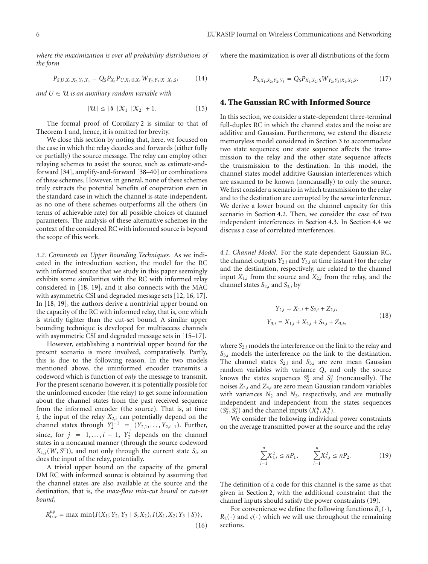*where the maximization is over all probability distributions of the form*

$$
P_{S,U,X_1,X_2,Y_2,Y_3} = Q_S P_{X_2} P_{U,X_1|S,X_2} W_{Y_2,Y_3|X_1,X_2,S},
$$
 (14)

*and*  $U \in \mathcal{U}$  *is an auxiliary random variable with* 

$$
|\mathcal{U}| \leq |\mathcal{S}||\mathcal{X}_1||\mathcal{X}_2| + 1. \tag{15}
$$

The formal proof of Corollary 2 is similar to that of Theorem 1 and, hence, it is omitted for brevity.

We close this section by noting that, here, we focused on the case in which the relay decodes and forwards (either fully or partially) the source message. The relay can employ other relaying schemes to assist the source, such as estimate-andforward [34], amplify-and-forward [38–40] or combinations of these schemes. However, in general, none of these schemes truly extracts the potential benefits of cooperation even in the standard case in which the channel is state-independent, as no one of these schemes outperforms all the others (in terms of achievable rate) for all possible choices of channel parameters. The analysis of these alternative schemes in the context of the considered RC with informed source is beyond the scope of this work.

*3.2. Comments on Upper Bounding Techniques.* As we indicated in the introduction section, the model for the RC with informed source that we study in this paper seemingly exhibits some similarities with the RC with informed relay considered in [18, 19], and it also connects with the MAC with asymmetric CSI and degraded message sets [12, 16, 17]. In [18, 19], the authors derive a nontrivial upper bound on the capacity of the RC with informed relay, that is, one which is strictly tighter than the cut-set bound. A similar upper bounding technique is developed for multiaccess channels with asymmetric CSI and degraded message sets in [15–17].

However, establishing a nontrivial upper bound for the present scenario is more involved, comparatively. Partly, this is due to the following reason. In the two models mentioned above, the uninformed encoder transmits a codeword which is function of *only* the message to transmit. For the present scenario however, it is potentially possible for the uninformed encoder (the relay) to get some information about the channel states from the past received sequence from the informed encoder (the source). That is, at time *i*, the input of the relay *X*2,*<sup>i</sup>* can potentially depend on the channel states through  $Y_2^{i-1} = (Y_{2,1}, \ldots, Y_{2,i-1})$ . Further, since, for  $j = 1, ..., i - 1$ ,  $Y_2^j$  depends on the channel states in a noncausal manner (through the source codeword  $X_{1,i}(W, S^n)$ , and not only through the current state  $S_i$ , so does the input of the relay, potentially.

A trivial upper bound on the capacity of the general DM RC with informed source is obtained by assuming that the channel states are also available at the source and the destination, that is, the *max-flow min-cut bound* or *cut-set bound*,

$$
R_{\text{triv}}^{\text{up}} = \max \min \{ I(X_1; Y_2, Y_3 \mid S, X_2), I(X_1, X_2; Y_3 \mid S) \},\tag{16}
$$

where the maximization is over all distributions of the form

$$
P_{S,X_1,X_2,Y_2,Y_3} = Q_S P_{X_1,X_2|S} W_{Y_2,Y_3|X_1,X_2,S}.
$$
 (17)

## **4. The Gaussian RC with Informed Source**

In this section, we consider a state-dependent three-terminal full-duplex RC in which the channel states and the noise are additive and Gaussian. Furthermore, we extend the discrete memoryless model considered in Section 3 to accommodate two state sequences; one state sequence affects the transmission to the relay and the other state sequence affects the transmission to the destination. In this model, the channel states model additive Gaussian interferences which are assumed to be known (noncausally) to only the source. We first consider a scenario in which transmission to the relay and to the destination are corrupted by the *same*interference. We derive a lower bound on the channel capacity for this scenario in Section 4.2. Then, we consider the case of two independent interferences in Section 4.3. In Section 4.4 we discuss a case of correlated interferences.

*4.1. Channel Model.* For the state-dependent Gaussian RC, the channel outputs  $Y_{2,i}$  and  $Y_{3,i}$  at time instant *i* for the relay and the destination, respectively, are related to the channel input *X*1,*<sup>i</sup>* from the source and *X*2,*<sup>i</sup>* from the relay, and the channel states *S*2,*<sup>i</sup>* and *S*3,*<sup>i</sup>* by

$$
Y_{2,i} = X_{1,i} + S_{2,i} + Z_{2,i},
$$
  
\n
$$
Y_{3,i} = X_{1,i} + X_{2,i} + S_{3,i} + Z_{3,i},
$$
\n(18)

where *S*2,*<sup>i</sup>* models the interference on the link to the relay and *S*3,*<sup>i</sup>* models the interference on the link to the destination. The channel states  $S_{2,i}$  and  $S_{3,i}$  are zero mean Gaussian random variables with variance *Q*, and only the source knows the states sequences  $S_2^n$  and  $S_3^n$  (noncausally). The noises  $Z_{2,i}$  and  $Z_{3,i}$  are zero mean Gaussian random variables with variances  $N_2$  and  $N_3$ , respectively, and are mutually independent and independent from the states sequences  $(S_2^n, S_3^n)$  and the channel inputs  $(X_1^n, X_2^n)$ .

We consider the following individual power constraints on the average transmitted power at the source and the relay

$$
\sum_{i=1}^{n} X_{1,i}^{2} \le nP_1, \qquad \sum_{i=1}^{n} X_{2,i}^{2} \le nP_2.
$$
 (19)

The definition of a code for this channel is the same as that given in Section 2, with the additional constraint that the channel inputs should satisfy the power constraints (19).

For convenience we define the following functions  $R_1(\cdot)$ ,  $R_2(\cdot)$  and  $\zeta(\cdot)$  which we will use throughout the remaining sections.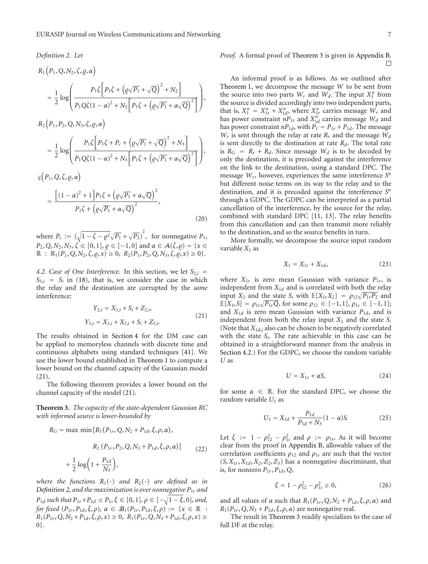#### *Definition 2. Let*

$$
R_{1}(P_{1}, Q, N_{2}, \zeta, \varrho, \alpha)
$$
\n
$$
= \frac{1}{2} \log \left( \frac{P_{1} \zeta \left[ P_{1} \zeta + \left( \varrho \sqrt{P_{1}} + \sqrt{Q} \right)^{2} + N_{2} \right]}{P_{1} Q \zeta (1 - \alpha)^{2} + N_{2} \left[ P_{1} \zeta + \left( \varrho \sqrt{P_{1}} + \alpha \sqrt{Q} \right)^{2} \right]} \right),
$$
\n
$$
R_{2}(P_{1}, P_{2}, Q, N_{3}, \zeta, \varrho, \alpha)
$$
\n
$$
= \frac{1}{2} \log \left( \frac{P_{1} \zeta \left[ P_{1} \zeta + P_{c} + \left( \varrho \sqrt{P_{1}} + \sqrt{Q} \right)^{2} + N_{3} \right]}{P_{1} Q \zeta (1 - \alpha)^{2} + N_{3} \left[ P_{1} \zeta + \left( \varrho \sqrt{P_{1}} + \alpha \sqrt{Q} \right)^{2} \right]} \right),
$$
\n
$$
\varsigma (P_{1}, Q, \zeta, \varrho, \alpha)
$$
\n
$$
= \frac{\left[ (1 - \alpha)^{2} + 1 \right] P_{1} \zeta + \left( \varrho \sqrt{P_{1}} + \alpha \sqrt{Q} \right)^{2}}{P_{1} \zeta + \left( \varrho \sqrt{P_{1}} + \alpha \sqrt{Q} \right)^{2}}, \tag{20}
$$

where  $P_c := (\sqrt{1 - \zeta - \varrho^2} \sqrt{P_1} + \sqrt{P_2})^2$ , for nonnegative  $P_1$ , *P*<sub>2</sub>, *Q*, *N*<sub>2</sub>, *N*<sub>3</sub>,  $\zeta$  ∈ [0, 1],  $\rho$  ∈ [−1, 0] and  $\alpha$  ∈  $\mathcal{A}(\zeta, \rho) = \{x \in$  $\mathbb{R}$  :  $R_1(P_1, Q, N_2, \zeta, \varrho, x) \geq 0$ ,  $R_2(P_1, P_2, Q, N_3, \zeta, \varrho, x) \geq 0$ .

4.2. Case of One Interference. In this section, we let  $S_{2,i}$  =  $S_{3,i}$  =  $S_i$  in (18), that is, we consider the case in which the relay and the destination are corrupted by the *same* interference:

$$
Y_{2,i} = X_{1,i} + S_i + Z_{2,i},
$$
  
\n
$$
Y_{3,i} = X_{1,i} + X_{2,i} + S_i + Z_{3,i}.
$$
\n(21)

The results obtained in Section 4 for the DM case can be applied to memoryless channels with discrete time and continuous alphabets using standard techniques [41]. We use the lower bound established in Theorem 1 to compute a lower bound on the channel capacity of the Gaussian model (21).

The following theorem provides a lower bound on the channel capacity of the model (21).

**Theorem 3.** *The capacity of the state-dependent Gaussian RC with informed source is lower-bounded by*

$$
R_G = \max \min \{ R_1(P_{1r}, Q, N_2 + P_{1d}, \xi, \rho, \alpha),
$$
  
\n
$$
R_2(P_{1r}, P_2, Q, N_3 + P_{1d}, \xi, \rho, \alpha) \} \qquad (22)
$$
  
\n
$$
+ \frac{1}{2} \log \left( 1 + \frac{P_{1d}}{N_3} \right),
$$

*where the functions*  $R_1(\cdot)$  *and*  $R_2(\cdot)$  *are defined as in Definition 2, and the maximization is over nonnegative P*<sup>1</sup>*<sup>r</sup> and P*<sub>1</sub>*d such that*  $P_{1r} + P_{1d} \le P_1$ *,*  $\xi \in [0, 1]$ *,*  $\rho \in [-\sqrt{1 - \xi}, 0]$ *, and, for fixed*  $(P_{1r}, P_{1d}, \xi, \rho)$ ,  $\alpha \in \mathcal{B}_1(P_{1r}, P_{1d}, \xi, \rho) := \{x \in \mathbb{R} :$ *R*<sub>1</sub>(*P*<sub>1*r*</sub>, *Q*, *N*<sub>2</sub> + *P*<sub>1</sub>*d*</sub>,  $ξ$ ,  $ρ$ , *) ≥ 0, <i>R*<sub>1</sub>(*P*<sub>1*r*</sub>, *Q*, *N*<sub>3</sub> + *P*<sub>1</sub>*d*</sub>,  $ξ$ ,  $ρ$ , *) ≥* 0}*.*

#### *Proof.* A formal proof of Theorem 3 is given in Appendix B.  $\Box$

An informal proof is as follows. As we outlined after Theorem 1, we decompose the message *W* to be sent from the source into two parts  $W_r$  and  $W_d$ . The input  $X_1^n$  from the source is divided accordingly into two independent parts, that is,  $X_1^n = X_{1r}^n + X_{1d}^n$ , where  $X_{1r}^n$  carries message  $W_r$  and has power constraint  $nP_{1r}$  and  $X_{1d}^n$  carries message  $W_d$  and has power constraint  $nP_{1d}$ , with  $P_1 = P_{1r} + P_{1d}$ . The message  $W_r$  is sent through the relay at rate  $R_r$  and the message  $W_d$ is sent directly to the destination at rate *Rd*. The total rate is  $R_G = R_r + R_d$ . Since message  $W_d$  is to be decoded by only the destination, it is precoded against the interference on the link to the destination, using a standard DPC. The message *Wr*, however, experiences the same interference *Sn* but different noise terms on its way to the relay and to the destination, and it is precoded against the interference *Sn* through a GDPC. The GDPC can be interpreted as a partial cancellation of the interference, by the source for the relay, combined with standard DPC [11, 13]. The relay benefits from this cancellation and can then transmit more reliably to the destination, and so the source benefits in turn.

More formally, we decompose the source input random variable *X*<sup>1</sup> as

$$
X_1 = X_{1r} + X_{1d}, \t\t(23)
$$

where  $X_{1r}$  is zero mean Gaussian with variance  $P_{1r}$ , is independent from  $X_{1d}$  and is correlated with both the relay input *X*<sub>2</sub> and the state *S*, with  $\mathbb{E}[X_{1r}X_2] = \rho_{12}\sqrt{P_{1r}P_2}$  and  $\mathbb{E}[X_{1r}S] = \rho_{1s}\sqrt{P_{1r}Q}$ , for some  $\rho_{12} \in [-1, 1], \rho_{1s} \in [-1, 1]$ ; and  $X_{1d}$  is zero mean Gaussian with variance  $P_{1d}$ , and is independent from both the relay input *X*<sup>2</sup> and the state *S*. (Note that *X*1*d*,*<sup>i</sup>* also can be chosen to be negatively correlated with the state  $S_i$ . The rate achievable in this case can be obtained in a straightforward manner from the analysis in Section 4.2.) For the GDPC, we choose the random variable *U* as

$$
U = X_{1r} + \alpha S, \qquad (24)
$$

for some  $\alpha \in \mathbb{R}$ . For the standard DPC, we choose the random variable *U*<sup>1</sup> as

$$
U_1 = X_{1d} + \frac{P_{1d}}{P_{1d} + N_3} (1 - \alpha) S.
$$
 (25)

Let  $\xi$  := 1 –  $\rho_{12}^2$  –  $\rho_{1s}^2$  and  $\rho$  :=  $\rho_{1s}$ . As it will become clear from the proof in Appendix B, allowable values of the correlation coefficients  $\rho_{12}$  and  $\rho_{1s}$  are such that the vector  $(S, X<sub>1r</sub>, X<sub>1d</sub>, X<sub>2</sub>, Z<sub>2</sub>, Z<sub>3</sub>)$  has a nonnegative discriminant, that is, for nonzero  $P_{1r}$ ,  $P_{1d}$ ,  $Q$ ,

$$
\xi = 1 - \rho_{12}^2 - \rho_{1s}^2 \ge 0, \tag{26}
$$

and all values of  $\alpha$  such that  $R_1(P_{1r}, Q, N_2 + P_{1d}, \xi, \rho, \alpha)$  and  $R_1(P_{1r}, Q, N_3 + P_{1d}, \xi, \rho, \alpha)$  are nonnegative real.

The result in Theorem 3 readily specializes to the case of full DF at the relay.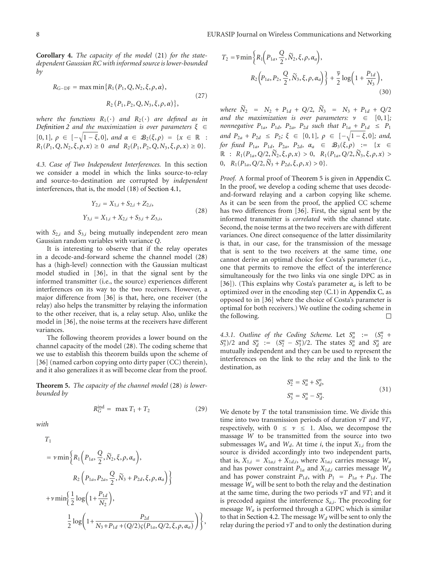**Corollary 4.** *The capacity of the model* (21) *for the statedependent Gaussian RC with informed source is lower-bounded by*

$$
R_{\text{G-DF}} = \max \min \{ R_1(P_1, Q, N_2, \xi, \rho, \alpha),
$$
  
 
$$
R_2(P_1, P_2, Q, N_3, \xi, \rho, \alpha) \},
$$
 (27)

*where the functions*  $R_1(\cdot)$  *and*  $R_2(\cdot)$  *are defined as in Definition 2 and the maximization is over parameters ξ* ∈  $[0, 1], \rho \in [-\sqrt{1-\xi}, 0], \text{ and } \alpha \in \mathcal{B}_2(\xi, \rho) = \{x \in \mathbb{R} :$  $R_1(P_1, Q, N_2, \xi, \rho, x) \ge 0$  *and*  $R_2(P_1, P_2, Q, N_3, \xi, \rho, x) \ge 0$ .

*4.3. Case of Two Independent Interferences.* In this section we consider a model in which the links source-to-relay and source-to-destination are corrupted by *independent* interferences, that is, the model (18) of Section 4.1,

$$
Y_{2,i} = X_{1,i} + S_{2,i} + Z_{2,i},
$$
  
\n
$$
Y_{3,i} = X_{1,i} + X_{2,i} + S_{3,i} + Z_{3,i},
$$
\n(28)

with  $S_{2,i}$  and  $S_{3,i}$  being mutually independent zero mean Gaussian random variables with variance *Q*.

It is interesting to observe that if the relay operates in a decode-and-forward scheme the channel model (28) has a (high-level) connection with the Gaussian multicast model studied in [36], in that the signal sent by the informed transmitter (i.e., the source) experiences different interferences on its way to the two receivers. However, a major difference from [36] is that, here, one receiver (the relay) also helps the transmitter by relaying the information to the other receiver, that is, a relay setup. Also, unlike the model in [36], the noise terms at the receivers have different variances.

The following theorem provides a lower bound on the channel capacity of the model (28). The coding scheme that we use to establish this theorem builds upon the scheme of [36] (named carbon copying onto dirty paper (CC) therein), and it also generalizes it as will become clear from the proof.

**Theorem 5.** *The capacity of the channel model* (28) *is lowerbounded by*

$$
R_G^{\text{ind}} = \max T_1 + T_2 \tag{29}
$$

*with*

*T*1

$$
= \nu \min \left\{ R_1 \left( P_{1a}, \frac{Q}{2}, \tilde{N}_2, \xi, \rho, \alpha_a \right), \right. \\ \left. R_2 \left( P_{1a}, P_{2a}, \frac{Q}{2}, \tilde{N}_3 + P_{2d}, \xi, \rho, \alpha_a \right) \right\} \\ + \nu \min \left\{ \frac{1}{2} \log \left( 1 + \frac{P_{1d}}{N_2} \right), \right. \\ \left. \frac{1}{2} \log \left( 1 + \frac{P_{2d}}{N_3 + P_{1d} + (Q/2)\varsigma(P_{1a}, Q/2, \xi, \rho, \alpha_a)} \right) \right\},
$$

$$
T_2 = \overline{\nu} \min \left\{ R_1 \left( P_{1a}, \frac{Q}{2}, \tilde{N}_2, \xi, \rho, \alpha_a \right), \right. \\ \left. R_2 \left( P_{1a}, P_2, \frac{Q}{2}, \tilde{N}_3, \xi, \rho, \alpha_a \right) \right\} + \frac{\overline{\nu}}{2} \log \left( 1 + \frac{P_{1d}}{N_3} \right), \tag{30}
$$

*where*  $\widetilde{N}_2$  =  $N_2 + P_{1d} + Q/2$ ,  $\widetilde{N}_3$  =  $N_3 + P_{1d} + Q/2$ *and the maximization is over parameters:*  $\nu \in [0,1]$ ; *nonnegative*  $P_{1a}$ *,*  $P_{1d}$ *,*  $P_{2a}$ *,*  $P_{2d}$  *such that*  $P_{1a} + P_{1d} \leq P_1$ *and*  $P_{2a} + P_{2d} \leq P_2$ ;  $\xi \in [0,1]$ ,  $\rho \in [-\sqrt{1-\xi},0]$ ; and, *for fixed*  $P_{1a}$ *,*  $P_{1d}$ *,*  $P_{2a}$ *,*  $P_{2d}$ *,*  $\alpha_a \in \mathcal{B}_3(\xi, \rho) := \{x \in$  $\mathbb{R}$  :  $R_1(P_{1a}, Q/2, \tilde{N}_2, \xi, \rho, x) > 0$ ,  $R_1(P_{1a}, Q/2, \tilde{N}_3, \xi, \rho, x) > 0$ 0,  $R_1(P_{1a}, Q/2, \tilde{N}_3 + P_{2d}, \xi, \rho, x) > 0$ .

*Proof.* A formal proof of Theorem 5 is given in Appendix C. In the proof, we develop a coding scheme that uses decodeand-forward relaying and a carbon copying like scheme. As it can be seen from the proof, the applied CC scheme has two differences from [36]. First, the signal sent by the informed transmitter is *correlated* with the channel state. Second, the noise terms at the two receivers are with different variances. One direct consequence of the latter dissimilarity is that, in our case, for the transmission of the message that is sent to the two receivers at the same time, one cannot derive an optimal choice for Costa's parameter (i.e., one that permits to remove the effect of the interference simultaneously for the two links via one single DPC as in [36]). (This explains why Costa's parameter  $\alpha_a$  is left to be optimized over in the encoding step (C.1) in Appendix C, as opposed to in [36] where the choice of Costa's parameter is optimal for both receivers.) We outline the coding scheme in the following.  $\Box$ 

4.3.1. Outline of the Coding Scheme. Let  $S_a^n := (S_2^n +$  $(S_3^n)/2$  and  $S_d^n := (S_2^n - S_3^n)/2$ . The states  $S_a^n$  and  $S_d^n$  are mutually independent and they can be used to represent the interferences on the link to the relay and the link to the destination, as

$$
S_2^n = S_a^n + S_d^n,
$$
  
\n
$$
S_3^n = S_a^n - S_d^n.
$$
\n(31)

We denote by *T* the total transmission time. We divide this time into two transmission periods of duration *νT* and *νT*, respectively, with  $0 \leq \nu \leq 1$ . Also, we decompose the massage *W* to be transmitted from the source into two submessages  $W_a$  and  $W_d$ . At time *i*, the input  $X_{1,i}$  from the source is divided accordingly into two independent parts, that is,  $X_{1,i} = X_{1a,i} + X_{1d,i}$ , where  $X_{1a,i}$  carries message  $W_a$ and has power constraint  $P_{1a}$  and  $X_{1d,i}$  carries message  $W_d$ and has power constraint  $P_{1d}$ , with  $P_1 = P_{1a} + P_{1d}$ . The message *Wa* will be sent to both the relay and the destination at the same time, during the two periods *νT* and *νT*; and it is precoded against the interference *Sa*,*i*. The precoding for message *Wa* is performed through a GDPC which is similar to that in Section 4.2. The message  $W_d$  will be sent to only the relay during the period *νT* and to only the destination during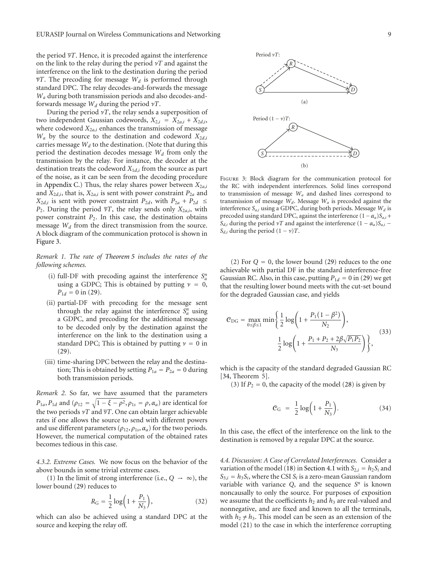the period *νT*. Hence, it is precoded against the interference on the link to the relay during the period *νT* and against the interference on the link to the destination during the period  $\overline{\nu}$ *T*. The precoding for message *W<sub>d</sub>* is performed through standard DPC. The relay decodes-and-forwards the message *Wa* during both transmission periods and also decodes-andforwards message *Wd* during the period *νT*.

During the period *νT*, the relay sends a superposition of two independent Gaussian codewords,  $X_{2,i} = X_{2a,i} + X_{2d,i}$ , where codeword  $X_{2a,i}$  enhances the transmission of message  $W_a$  by the source to the destination and codeword  $X_{2d,i}$ carries message  $W_d$  to the destination. (Note that during this period the destination decodes message *Wd* from only the transmission by the relay. For instance, the decoder at the destination treats the codeword  $X_{1d,i}$  from the source as part of the noise, as it can be seen from the decoding procedure in Appendix C.) Thus, the relay shares power between  $X_{2a,i}$ and  $X_{2d,i}$ , that is,  $X_{2a,i}$  is sent with power constraint  $P_{2a}$  and *X*<sub>2*d*</sub>,*i* is sent with power constraint *P*<sub>2</sub>*d*, with *P*<sub>2*a*</sub> + *P*<sub>2</sub>*d* ≤ *P*<sub>2</sub>. During the period  $\bar{\nu}T$ , the relay sends only  $X_{2a,i}$ , with power constraint  $P_2$ . In this case, the destination obtains message *W<sub>d</sub>* from the direct transmission from the source. A block diagram of the communication protocol is shown in Figure 3.

*Remark 1. The rate of Theorem 5 includes the rates of the following schemes.*

- (i) full-DF with precoding against the interference  $S_a^n$ using a GDPC; This is obtained by putting *ν* = 0,  $P_{1d} = 0$  in (29).
- (ii) partial-DF with precoding for the message sent through the relay against the interference  $S_a^n$  using a GDPC, and precoding for the additional message to be decoded only by the destination against the interference on the link to the destination using a standard DPC; This is obtained by putting  $\nu = 0$  in (29).
- (iii) time-sharing DPC between the relay and the destination; This is obtained by setting  $P_{1a} = P_{2a} = 0$  during both transmission periods.

*Remark 2.* So far, we have assumed that the parameters *P*<sub>1*a*</sub>, *P*<sub>1</sub>*d* and ( $\rho_{12} = \sqrt{1 - \xi - \rho^2}$ ,  $\rho_{1s} = \rho$ ,  $\alpha_a$ ) are identical for the two periods *νT* and *νT*. One can obtain larger achievable rates if one allows the source to send with different powers and use different parameters ( $\rho_{12}, \rho_{1s}, \alpha_a$ ) for the two periods. However, the numerical computation of the obtained rates becomes tedious in this case.

*4.3.2. Extreme Cases.* We now focus on the behavior of the above bounds in some trivial extreme cases.

(1) In the limit of strong interference (i.e.,  $Q \rightarrow \infty$ ), the lower bound (29) reduces to

$$
R_{\rm G} = \frac{1}{2} \log \bigg( 1 + \frac{P_1}{N_3} \bigg),\tag{32}
$$

which can also be achieved using a standard DPC at the source and keeping the relay off.



Figure 3: Block diagram for the communication protocol for the RC with independent interferences. Solid lines correspond to transmission of message *Wa* and dashed lines correspond to transmission of message  $W_d$ . Message  $W_a$  is precoded against the interference  $S_{a,i}$  using a GDPC, during both periods. Message  $W_d$  is precoded using standard DPC, against the interference  $(1 - \alpha_a)S_{a,i}$  + *S*<sub>d,*i*</sub> during the period  $\nu T$  and against the interference  $(1 - \alpha_a)S_{a,i}$  − *S*<sub>*d*</sub>,*i* during the period  $(1 - \nu)T$ .

(2) For  $Q = 0$ , the lower bound (29) reduces to the one achievable with partial DF in the standard interference-free Gaussian RC. Also, in this case, putting  $P_{1d} = 0$  in (29) we get that the resulting lower bound meets with the cut-set bound for the degraded Gaussian case, and yields

$$
C_{\text{DG}} = \max_{0 \le \beta \le 1} \min \left\{ \frac{1}{2} \log \left( 1 + \frac{P_1 (1 - \beta^2)}{N_2} \right), \frac{1}{2} \log \left( 1 + \frac{P_1 + P_2 + 2\beta \sqrt{P_1 P_2}}{N_3} \right) \right\},
$$
(33)

which is the capacity of the standard degraded Gaussian RC [34, Theorem 5].

(3) If  $P_2 = 0$ , the capacity of the model (28) is given by

$$
C_{\rm G} = \frac{1}{2} \log \left( 1 + \frac{P_1}{N_3} \right). \tag{34}
$$

In this case, the effect of the interference on the link to the destination is removed by a regular DPC at the source.

*4.4. Discussion: A Case of Correlated Interferences.* Consider a variation of the model (18) in Section 4.1 with  $S_{2,i} = h_2 S_i$  and  $S_{3,i} = h_3 S_i$ , where the CSI  $S_i$  is a zero-mean Gaussian random variable with variance  $Q$ , and the sequence  $S<sup>n</sup>$  is known noncausally to only the source. For purposes of exposition we assume that the coefficients  $h_2$  and  $h_3$  are real-valued and nonnegative, and are fixed and known to all the terminals, with  $h_2 \neq h_3$ . This model can be seen as an extension of the model (21) to the case in which the interference corrupting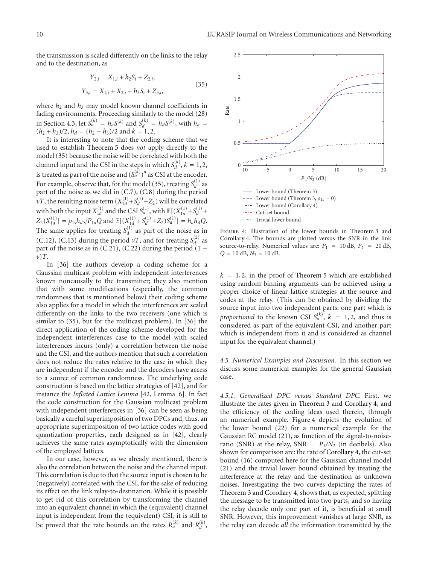the transmission is scaled differently on the links to the relay and to the destination, as

$$
Y_{2,i} = X_{1,i} + h_2 S_i + Z_{2,i},
$$
  
\n
$$
Y_{3,i} = X_{1,i} + X_{2,i} + h_3 S_i + Z_{3,i},
$$
\n(35)

where  $h_2$  and  $h_3$  may model known channel coefficients in fading environments. Proceeding similarly to the model (28) in Section 4.3, let  $S_a^{(k)} = h_a S^{(k)}$  and  $S_d^{(k)} = h_d S^{(k)}$ , with  $h_a =$  $(h_2 + h_3)/2$ ,  $h_d = (h_2 - h_3)/2$  and  $k = 1, 2$ .

It is interesting to note that the coding scheme that we used to establish Theorem 5 does *not* apply directly to the model (35) because the noise will be correlated with both the channel input and the CSI in the steps in which  $S_d^{(k)}$ ,  $k = 1, 2$ , is treated as part of the noise and  $(S_a^{(k)})^n$  as CSI at the encoder. For example, observe that, for the model (35), treating  $S_d^{(1)}$  as part of the noise as we did in (C.7), (C.8) during the period *νT*, the resulting noise term  $(X_{1d}^{(1)} + S_d^{(1)} + Z_2)$  will be correlated with both the input  $X_{1a}^{(1)}$  and the CSI  $S_a^{(1)}$ , with  $\mathbb{E}[(X_{1d}^{(1)} + S_d^{(1)} + S_d^{(2)})]$  $Z_2[X_{1a}^{(1)}] = \rho_{1s}h_d\sqrt{P_{1a}Q}$  and  $\mathbb{E}[(X_{1d}^{(1)} + S_d^{(1)} + Z_2)S_a^{(1)}] = h_ah_dQ$ . The same applies for treating  $S_d^{(1)}$  as part of the noise as in (C.12), (C.13) during the period  $vT$ , and for treating  $S_d^{(2)}$  as part of the noise as in  $(C.21)$ ,  $(C.22)$  during the period  $(1$ *ν*)*T*.

In [36] the authors develop a coding scheme for a Gaussian multicast problem with independent interferences known noncausally to the transmitter; they also mention that with some modifications (especially, the common randomness that is mentioned below) their coding scheme also applies for a model in which the interferences are scaled differently on the links to the two receivers (one which is similar to (35), but for the multicast problem). In [36] the direct application of the coding scheme developed for the independent interferences case to the model with scaled interferences incurs (only) a correlation between the noise and the CSI, and the authors mention that such a correlation does not reduce the rates relative to the case in which they are independent if the encoder and the decoders have access to a source of common randomness. The underlying code construction is based on the lattice strategies of [42], and for instance the *Inflated Lattice Lemma* [42, Lemma 6]. In fact the code construction for the Gaussian multicast problem with independent interferences in [36] can be seen as being basically a careful superimposition of two DPCs and, thus, an appropriate superimposition of two lattice codes with good quantization properties, each designed as in [42], clearly achieves the same rates asymptotically with the dimension of the employed lattices.

In our case, however, as we already mentioned, there is also the correlation between the noise and the channel input. This correlation is due to that the source input is chosen to be (negatively) correlated with the CSI, for the sake of reducing its effect on the link relay-to-destination. While it is possible to get rid of this correlation by transforming the channel into an equivalent channel in which the (equivalent) channel input is independent from the (equivalent) CSI, it is still to be proved that the rate bounds on the rates  $R_a^{(k)}$  and  $R_d^{(k)}$ ,



Figure 4: Illustration of the lower bounds in Theorem 3 and Corollary 4. The bounds are plotted versus the SNR in the link source-to-relay. Numerical values are:  $P_1 = 10$  dB,  $P_2 = 20$  dB,  $Q = 10$  dB,  $N_3 = 10$  dB.

 $k = 1, 2$ , in the proof of Theorem 5 which are established using random binning arguments can be achieved using a proper choice of linear lattice strategies at the source and codes at the relay. (This can be obtained by dividing the source input into two independent parts: one part which is *proportional* to the known CSI  $S_a^{(k)}$ ,  $k = 1, 2$ , and thus is considered as part of the equivalent CSI, and another part which is independent from it and is considered as channel input for the equivalent channel.)

*4.5. Numerical Examples and Discussion.* In this section we discuss some numerical examples for the general Gaussian case.

*4.5.1. Generalized DPC versus Standard DPC.* First, we illustrate the rates given in Theorem 3 and Corollary 4, and the efficiency of the coding ideas used therein, through an numerical example. Figure 4 depicts the evolution of the lower bound (22) for a numerical example for the Gaussian RC model (21), as function of the signal-to-noiseratio (SNR) at the relay, SNR =  $P_1/N_2$  (in decibels). Also shown for comparison are: the rate of Corollary 4, the cut-set bound (16) computed here for the Gaussian channel model (21) and the trivial lower bound obtained by treating the interference at the relay and the destination as unknown noises. Investigating the two curves depicting the rates of Theorem 3 and Corollary 4, shows that, as expected, splitting the message to be transmitted into two parts, and so having the relay decode only one part of it, is beneficial at small SNR. However, this improvement vanishes at large SNR, as the relay can decode *all* the information transmitted by the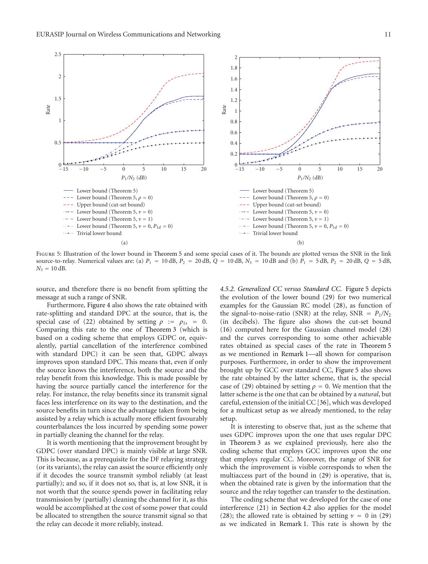

Figure 5: Illustration of the lower bound in Theorem 5 and some special cases of it. The bounds are plotted versus the SNR in the link source-to-relay. Numerical values are: (a)  $P_1 = 10$  dB,  $P_2 = 20$  dB,  $Q = 10$  dB,  $N_3 = 10$  dB and (b)  $P_1 = 5$  dB,  $P_2 = 20$  dB,  $Q = 5$  dB,  $N_3 = 10$  dB.

source, and therefore there is no benefit from splitting the message at such a range of SNR.

Furthermore, Figure 4 also shows the rate obtained with rate-splitting and standard DPC at the source, that is, the special case of (22) obtained by setting  $\rho := \rho_{1s} = 0$ . Comparing this rate to the one of Theorem 3 (which is based on a coding scheme that employs GDPC or, equivalently, partial cancellation of the interference combined with standard DPC) it can be seen that, GDPC always improves upon standard DPC. This means that, even if only the source knows the interference, both the source and the relay benefit from this knowledge. This is made possible by having the source partially cancel the interference for the relay. For instance, the relay benefits since its transmit signal faces less interference on its way to the destination, and the source benefits in turn since the advantage taken from being assisted by a relay which is actually more efficient favourably counterbalances the loss incurred by spending some power in partially cleaning the channel for the relay.

It is worth mentioning that the improvement brought by GDPC (over standard DPC) is mainly visible at large SNR. This is because, as a prerequisite for the DF relaying strategy (or its variants), the relay can assist the source efficiently only if it decodes the source transmit symbol reliably (at least partially); and so, if it does not so, that is, at low SNR, it is not worth that the source spends power in facilitating relay transmission by (partially) cleaning the channel for it, as this would be accomplished at the cost of some power that could be allocated to strengthen the source transmit signal so that the relay can decode it more reliably, instead.

*4.5.2. Generalized CC versus Standard CC.* Figure 5 depicts the evolution of the lower bound (29) for two numerical examples for the Gaussian RC model (28), as function of the signal-to-noise-ratio (SNR) at the relay,  $SNR = P_1/N_2$ (in decibels). The figure also shows the cut-set bound (16) computed here for the Gaussian channel model (28) and the curves corresponding to some other achievable rates obtained as special cases of the rate in Theorem 5 as we mentioned in Remark 1—all shown for comparison purposes. Furthermore, in order to show the improvement brought up by GCC over standard CC, Figure 5 also shows the rate obtained by the latter scheme, that is, the special case of (29) obtained by setting  $\rho = 0$ . We mention that the latter scheme is the one that can be obtained by a *natural*, but careful, extension of the initial CC [36], which was developed for a multicast setup as we already mentioned, to the relay setup.

It is interesting to observe that, just as the scheme that uses GDPC improves upon the one that uses regular DPC in Theorem 3 as we explained previously, here also the coding scheme that employs GCC improves upon the one that employs regular CC. Moreover, the range of SNR for which the improvement is visible corresponds to when the multiaccess part of the bound in (29) is operative, that is, when the obtained rate is given by the information that the source and the relay together can transfer to the destination.

The coding scheme that we developed for the case of one interference (21) in Section 4.2 also applies for the model (28); the allowed rate is obtained by setting  $\nu = 0$  in (29) as we indicated in Remark 1. This rate is shown by the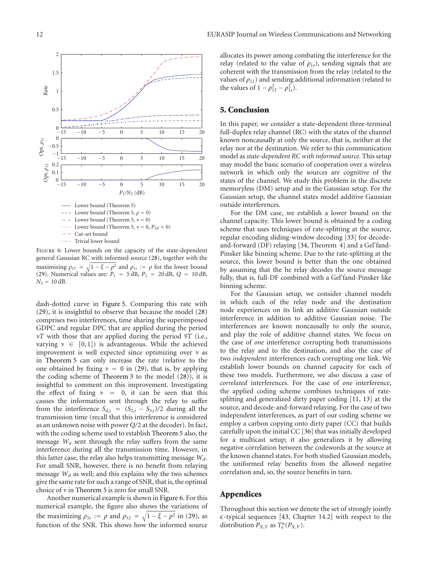

FIGURE 6: Lower bounds on the capacity of the state-dependent general Gaussian RC with informed source (28), together with the maximizing  $\rho_{12} = \sqrt{1 - \xi - \rho^2}$  and  $\rho_{1s} := \rho$  for the lower bound (29). Numerical values are:  $P_1 = 5 dB$ ,  $P_2 = 20 dB$ ,  $Q = 10 dB$ ,  $N_3 = 10$  dB.

dash-dotted curve in Figure 5. Comparing this rate with (29), it is insightful to observe that because the model (28) comprises two interferences, time sharing the superimposed GDPC and regular DPC that are applied during the period *νT* with those that are applied during the period *νT* (i.e., varying  $\nu \in [0, 1]$ ) is advantageous. While the achieved improvement is well expected since optimizing over *ν* as in Theorem 5 can only increase the rate (relative to the one obtained by fixing  $\nu = 0$  in (29), that is, by applying the coding scheme of Theorem 3 to the model (28)), it is insightful to comment on this improvement. Investigating the effect of fixing  $\nu = 0$ , it can be seen that this causes the information sent through the relay to suffer from the interference  $S_{d,i} = (S_{2,i} - S_{3,i})/2$  during all the transmission time (recall that this interference is considered as an unknown noise with power *Q/*2 at the decoder). In fact, with the coding scheme used to establish Theorem 5 also, the message *Wa* sent through the relay suffers from the same interference during all the transmission time. However, in this latter case, the relay also helps transmitting message *Wd*. For small SNR, however, there is no benefit from relaying message *Wd* as well; and this explains why the two schemes give the same rate for such a range of SNR, that is, the optimal choice of *ν* in Theorem 5 is zero for small SNR.

Another numerical example is shown in Figure 6. For this numerical example, the figure also shows the variations of the maximizing  $\rho_{1s} := \rho$  and  $\rho_{12} = \sqrt{1 - \xi - \rho^2}$  in (29), as function of the SNR. This shows how the informed source

allocates its power among combating the interference for the relay (related to the value of  $\rho_{1s}$ ), sending signals that are coherent with the transmission from the relay (related to the values of  $\rho_{12}$ ) and sending additional information (related to the values of  $1 - \rho_{12}^2 - \rho_{1s}^2$ ).

## **5. Conclusion**

In this paper, we consider a state-dependent three-terminal full-duplex relay channel (RC) with the states of the channel known noncausally at only the source, that is, neither at the relay nor at the destination. We refer to this communication model as *state-dependent RC with informed source*. This setup may model the basic scenario of cooperation over a wireless network in which only the sources are cognitive of the states of the channel. We study this problem in the discrete memoryless (DM) setup and in the Gaussian setup. For the Gaussian setup, the channel states model additive Gaussian outside interferences.

For the DM case, we establish a lower bound on the channel capacity. This lower bound is obtained by a coding scheme that uses techniques of rate-splitting at the source, regular encoding sliding-window decoding [33] for decodeand-forward (DF) relaying [34, Theorem 4] and a Gel'fand-Pinsker like binning scheme. Due to the rate-splitting at the source, this lower bound is better than the one obtained by assuming that the he relay decodes the source message fully, that is, full-DF combined with a Gel'fand-Pinsker like binning scheme.

For the Gaussian setup, we consider channel models in which each of the relay node and the destination node experiences on its link an additive Gaussian outside interference in addition to additive Gaussian noise. The interferences are known noncausally to only the source, and play the role of additive channel states. We focus on the case of *one* interference corrupting both transmissions to the relay and to the destination, and also the case of two *independent* interferences each corrupting one link. We establish lower bounds on channel capacity for each of these two models. Furthermore, we also discuss a case of *correlated* interferences. For the case of *one* interference, the applied coding scheme combines techniques of ratesplitting and generalized dirty paper coding [11, 13] at the source, and decode-and-forward relaying. For the case of two independent interferences, as part of our coding scheme we employ a carbon copying onto dirty paper (CC) that builds carefully upon the initial CC [36] that was initially developed for a multicast setup; it also generalizes it by allowing negative correlation between the codewords at the source at the known channel states. For both studied Gaussian models, the uniformed relay benefits from the allowed negative correlation and, so, the source benefits in turn.

## **Appendices**

Throughout this section we denote the set of strongly jointly *-*-typical sequences [43, Chapter 14.2] with respect to the distribution  $P_{X,Y}$  as  $T_{\epsilon}^{n}(P_{X,Y})$ .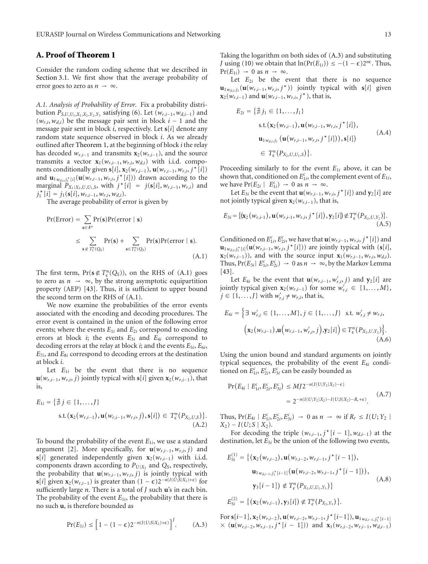## **A. Proof of Theorem 1**

Consider the random coding scheme that we described in Section 3.1. We first show that the average probability of error goes to zero as  $n \to \infty$ .

*A.1. Analysis of Probability of Error.* Fix a probability distribution  $P_{S,U,U_1,X_1,X_2,Y_2,Y_3}$  satisfying (6). Let  $(w_{r,i-1}, w_{d,i-1})$  and  $(w_{r,i}, w_{d,i})$  be the message pair sent in block  $i - 1$  and the message pair sent in block *i*, respectively. Let **s**[*i*] denote any random state sequence observed in block *i*. As we already outlined after Theorem 1, at the beginning of block *i* the relay has decoded  $w_{r,i-1}$  and transmits  $\mathbf{x}_2(w_{r,i-1})$ , and the source transmits a vector  $\mathbf{x}_1(w_{r,i-1}, w_{r,i}, w_{d,i})$  with i.i.d. components conditionally given  $\mathbf{s}[i], \mathbf{x}_2(w_{r,i-1}), \mathbf{u}(w_{r,i-1}, w_{r,i}, j^{\star}[i])$ and  $\mathbf{u}_{1_{W_d,i,j_1^{\star}[i]}}(\mathbf{u}(w_{r,i-1}, w_{r,i}, j^{\star}[i]))$  drawn according to the marginal  $P_{X_1|X_2, U, U_1, S}$ , with  $j^*[i] = j(s[i], w_{r,i-1}, w_{r,i})$  and  $j_1^{\star}$   $[i] = j_1(s[i], w_{r,i-1}, w_{r,i}, w_{d,i}).$ 

The average probability of error is given by

$$
Pr(Error) = \sum_{s \in \mathcal{S}^n} Pr(s)Pr(error \mid s)
$$
  
\n
$$
\leq \sum_{s \notin T_{\epsilon}^n(Q_s)} Pr(s) + \sum_{s \in T_{\epsilon}^n(Q_s)} Pr(s)Pr(error \mid s).
$$
  
\n(A.1)

The first term,  $Pr(s \notin T_{\epsilon}^{n}(Q_{S}))$ , on the RHS of (A.1) goes to zero as  $n \rightarrow \infty$ , by the strong asymptotic equipartition property (AEP) [43]. Thus, it is sufficient to upper bound the second term on the RHS of (A.1).

We now examine the probabilities of the error events associated with the encoding and decoding procedures. The error event is contained in the union of the following error events; where the events *E*1*<sup>i</sup>* and *E*2*<sup>i</sup>* correspond to encoding errors at block *i*; the events  $E_{3i}$  and  $E_{4i}$  correspond to decoding errors at the relay at block *i*; and the events *E*5*i*, *E*6*i*, *E*7*i*, and *E*8*<sup>i</sup>* correspond to decoding errors at the destination at block *i*.

Let  $E_{1i}$  be the event that there is no sequence **u**( $w_{r,i-1}$ , $w_{r,i}$ , *j*) jointly typical with **s**[*i*] given **x**<sub>2</sub>( $w_{r,i-1}$ ), that is,

$$
E_{1i} = \{ \nexists j \in \{1, ..., J\} \text{ s.t. } (\mathbf{x}_2(w_{r,i-1}), \mathbf{u}(w_{r,i-1}, w_{r,i}, j), \mathbf{s}[i]) \in T^n_{\epsilon}(P_{X_2, U, S}) \}.
$$
\n(A.2)

To bound the probability of the event  $E_{1i}$ , we use a standard argument [2]. More specifically, for  $\mathbf{u}(w_{r,i-1}, w_{r,i}, j)$  and **s**[*i*] generated independently given  $\mathbf{x}_2(w_{r,i-1})$  with i.i.d. components drawn according to  $P_{U|X_2}$  and  $Q_S$ , respectively, the probability that  $\mathbf{u}(w_{r,i-1}, w_{r,i}, j)$  is jointly typical with **s**[*i*] given **x**<sub>2</sub>( $w_{r,i-1}$ ) is greater than  $(1 - \epsilon)2^{-n(I(U;S|X_2)+\epsilon)}$  for sufficiently large *n*. There is a total of *J* such **u**'s in each bin. The probability of the event  $E_{1i}$ , the probability that there is no such **u**, is therefore bounded as

$$
Pr(E_{1i}) \le \left[1 - (1 - \epsilon)2^{-n(I(U;S|X_2) + \epsilon)}\right]^J. \tag{A.3}
$$

Taking the logarithm on both sides of (A.3) and substituting *J* using (10) we obtain that  $ln(Pr(E_{1i})) \le -(1 - \epsilon)2^{n\epsilon}$ . Thus,  $Pr(E_{1i}) \rightarrow 0$  as  $n \rightarrow \infty$ .

Let  $E_{2i}$  be the event that there is no sequence **u**<sub>1*w<sub>d,i,j</sub>*<sub>1</sub> (**u**(*w<sub>r,i-1</sub>, <i>w<sub>r,i</sub>*, *j*<sup>★</sup>)) jointly typical with **s**[*i*] given</sub> **x**2(*wr*,*i*−1) and **u**(*wr*,*i*−1,*wr*,*i*, *j* ), that is,

$$
E_{2i} = \{\nexists j_1 \in \{1, ..., J_1\} \text{ s.t. } (\mathbf{x}_2(w_{r,i-1}), \mathbf{u}(w_{r,i-1}, w_{r,i}, j^{\star}[i]),
$$
  
\n
$$
\mathbf{u}_{1 w_{d,i}, j_1} (\mathbf{u}(w_{r,i-1}, w_{r,i}, j^{\star}[i])), \mathbf{s}[i]) \text{ s}[i])
$$
  
\n
$$
\in T_{\epsilon}^n(P_{X_2, U, U_1, S})\}.
$$
\n(A.4)

Proceeding similarly to for the event *E*<sup>1</sup>*<sup>i</sup>* above, it can be shown that, conditioned on  $E_{1i}^c$ , the complement event of  $E_{1i}$ , we have  $Pr(E_{2i} | E_{1i}^c) \rightarrow 0$  as  $n \rightarrow \infty$ .

Let *E*<sub>3*i*</sub> be the event that **u**( $w_{r,i-1}$ ,  $w_{r,i}$ ,  $j^{\star}[i]$ ) and  $\mathbf{y}_2[i]$  are not jointly typical given  $\mathbf{x}_2(w_{r,i-1})$ , that is,

$$
E_{3i} = \{ (\mathbf{x}_2(w_{r,i-1}), \mathbf{u}(w_{r,i-1}, w_{r,i}, j^{\star}[i]), \mathbf{y}_2[i]) \notin T_{\epsilon}^n(P_{X_2, U, Y_2}) \}.
$$
\n(A.5)

Conditioned on  $E^c_{1i}$ ,  $E^c_{2i}$ , we have that **u**( $w_{r,i-1}$ ,  $w_{r,i}$ ,  $j^{\star}[i]$ ) and **u**<sub>1*wd,i,j*<sup> $\uparrow$ </sup> [*i*]</sub>(**u**(*w<sub>r,i-1</sub>, <i>w*<sub>r,*i*</sub>, *j*<sup>★</sup> [*i*])) are jointly typical with (**s**[*i*],  $\mathbf{x}_2(w_{r,i-1})$ , and with the source input  $\mathbf{x}_1(w_{r,i-1}, w_{r,i}, w_{d,i})$ . Thus,  $Pr(E_{3i}| E_{1i}^c, E_{2i}^c) \rightarrow 0$  as  $n \rightarrow \infty$ , by the Markov Lemma  $|43|$ .

Let *E*<sub>4*i*</sub> be the event that **u**( $w_{r,i-1}$ ,  $w'_{r,i}$ , *j*) and **y**<sub>2</sub>[*i*] are jointly typical given  $\mathbf{x}_2(w_{r,i-1})$  for some  $w'_{r,i} \in \{1, \ldots, M\}$ ,  $j \in \{1, \ldots, J\}$  with  $w'_{r,i} \neq w_{r,i}$ , that is,

$$
E_{4i} = \left\{ \exists w'_{r,i} \in \{1, ..., M\}, j \in \{1, ..., J\} \text{ s.t. } w'_{r,i} \neq w_{r,i}, \right.
$$

$$
\left( \mathbf{x}_2(w_{r,i-1}), \mathbf{u}\left(w_{r,i-1}, w'_{r,i}, j\right), \mathbf{y}_2[i] \right) \in T_{\epsilon}^n(P_{X_2, U, Y_2}) \right\}.
$$
(A.6)

Using the union bound and standard arguments on jointly typical sequences, the probability of the event *E*4*<sup>i</sup>* conditioned on  $E_{1i}^c$ ,  $E_{2i}^c$ ,  $E_{3i}^c$  can be easily bounded as

$$
\Pr(E_{4i} | E_{1i}^c, E_{2i}^c, E_{3i}^c) \le M J 2^{-n(I(U;Y_2|X_2) - \epsilon)} \\
= 2^{-n(I(U;Y_2|X_2) - I(U;S|X_2) - R_r + \epsilon)}.\n\tag{A.7}
$$

Thus,  $Pr(E_{4i} | E_{1i}^c, E_{2i}^c, E_{3i}^c) \rightarrow 0$  as  $n \rightarrow \infty$  if  $R_r \le I(U; Y_2 |$  $X_2$ ) − *I*(*U*; *S* |  $X_2$ ).

For decoding the triple  $(w_{r,i-1}, j^{\star}[i-1], w_{d,i-1})$  at the destination, let *E*<sup>5</sup>*<sup>i</sup>* be the union of the following two events,

$$
E_{5i}^{(1)} = \{ (\mathbf{x}_2(w_{r,i-2}), \mathbf{u}(w_{r,i-2}, w_{r,i-1}, j^*[i-1]),
$$
  
\n
$$
\mathbf{u}_{1 w_{d,i-1}, j_1^*[i-1]} (\mathbf{u}(w_{r,i-2}, w_{r,i-1}, j^*[i-1])),
$$
  
\n
$$
\mathbf{y}_3[i-1]) \notin T_{\epsilon}^n(P_{X_2, U, U_1, Y_3}) \}
$$
  
\n
$$
E_{5i}^{(2)} = \{ (\mathbf{x}_2(w_{r,i-1}), \mathbf{y}_3[i]) \notin T_{\epsilon}^n(P_{X_2, Y_3}) \}.
$$
 (A.8)

For  $s[i-1]$ ,  $\mathbf{x}_{2}(w_{r,i-2})$ ,  $\mathbf{u}(w_{r,i-2}, w_{r,i-1}, j^{\star}[i-1])$ ,  $\mathbf{u}_{1w_{d,i-1},j_1^{\star}[i-1]}$  $\times$  (**u**(*w*<sub>r,*i*-2</sub>, *w*<sub>r,*i*-1</sub>, *j*<sup>★</sup>[*i* − 1])) and **x**<sub>1</sub>(*w*<sub>r,*i*-2</sub>, *w*<sub>r,*i*-1</sub>, *w*<sub>d,*i*-1</sub>)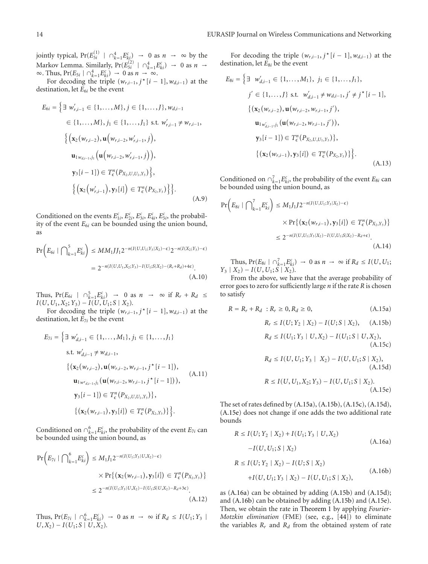jointly typical,  $Pr(E_{5i}^{(1)} | \cap_{k=1}^4 E_{ki}^c) \rightarrow 0$  as  $n \rightarrow \infty$  by the Markov Lemma. Similarly,  $Pr(E_{5i}^{(2)} | \cap_{k=1}^4 E_{ki}^c) \rightarrow 0$  as  $n \rightarrow$  $\infty$ . Thus, Pr(*E*<sub>5*i*</sub> | ∩<sup>4</sup><sub>*k*=1</sub>*E*<sup>*c*<sub>*ki*</sub>) → 0 as *n* → ∞.</sup>

For decoding the triple  $(w_{r,i-1}, j^{\star}[i-1], w_{d,i-1})$  at the destination, let  $E_{6i}$  be the event

$$
E_{6i} = \left\{ \exists w'_{r,i-1} \in \{1,\ldots,M\}, j \in \{1,\ldots,J\}, w_{d,i-1} \right\}
$$
  
\n
$$
\in \{1,\ldots,M\}, j_1 \in \{1,\ldots,J_1\} \text{ s.t. } w'_{r,i-1} \neq w_{r,i-1},
$$
  
\n
$$
\left\{ (\mathbf{x}_2(w_{r,i-2}), \mathbf{u}(w_{r,i-2}, w'_{r,i-1}, j)),
$$
  
\n
$$
\mathbf{u}_{1 w_{d,i-1},j_1}(\mathbf{u}(w_{r,i-2}, w'_{r,i-1}, j)),
$$
  
\n
$$
\mathbf{y}_3[i-1]) \in T_{\epsilon}^n(P_{X_2,U,U_1,Y_3}) \right\},
$$
  
\n
$$
\left\{ (\mathbf{x}_2(w'_{r,i-1}), \mathbf{y}_3[i]) \in T_{\epsilon}^n(P_{X_2,Y_3}) \right\}.
$$
  
\n(A.9)

Conditioned on the events  $E_{1i}^c$ ,  $E_{2i}^c$ ,  $E_{3i}^c$ ,  $E_{4i}^c$ ,  $E_{5i}^c$ , the probability of the event  $E_{6i}$  can be bounded using the union bound, as

$$
\Pr\left(E_{6i} \mid \bigcap_{k=1}^{5} E_{ki}^c\right) \le MM_1 J J_1 2^{-n(I(U, U_1; Y_3 | X_2) - \epsilon)} 2^{-n(I(X_2; Y_3) - \epsilon)}
$$
  
= 
$$
2^{-n(I(U, U_1, X_2; Y_3) - I(U_1; S | X_2) - (R_r + R_d) + 4\epsilon)}.
$$
(A.10)

Thus,  $Pr(E_{6i} \mid \bigcap_{k=1}^{5} E_{ki}^c) \rightarrow 0$  as  $n \rightarrow \infty$  if  $R_r + R_d \le$ *I*(*U*, *U*<sub>1</sub>, *X*<sub>2</sub>; *Y*<sub>3</sub>) − *I*(*U*, *U*<sub>1</sub>; *S* | *X*<sub>2</sub>)*.* 

For decoding the triple  $(w_{r,i-1}, j^{\star}[i-1], w_{d,i-1})$  at the destination, let *E*7*<sup>i</sup>* be the event

$$
E_{7i} = \left\{ \exists \ w'_{d,i-1} \in \{1, ..., M_1\}, j_1 \in \{1, ..., J_1\} \right\}
$$
  
s.t.  $w'_{d,i-1} \neq w_{d,i-1}$ ,  

$$
\left\{ (\mathbf{x}_2(w_{r,i-2}), \mathbf{u}(w_{r,i-2}, w_{r,i-1}, j^* [i-1]),
$$

$$
\mathbf{u}_{1 w'_{d,i-1},j_1}(\mathbf{u}(w_{r,i-2}, w_{r,i-1}, j^* [i-1])), \mathbf{y}_3[i-1]) \in T_{\epsilon}^n(P_{X_2, U, U_1, Y_3}) \right\},\
$$

$$
\left\{ (\mathbf{x}_2(w_{r,i-1}), \mathbf{y}_3[i]) \in T_{\epsilon}^n(P_{X_2, Y_3}) \right\}.
$$

Conditioned on  $\bigcap_{k=1}^{6} E_{ki}^c$ , the probability of the event *E*<sub>7*i*</sub> can be bounded using the union bound, as

$$
\Pr\left(E_{7i} \mid \bigcap_{k=1}^{6} E_{ki}^c\right) \le M_1 J_1 2^{-n(I(U_1; Y_3 | U, X_2) - \epsilon)} \\
\times \Pr\{(\mathbf{x}_2(w_{r,i-1}), \mathbf{y}_3[i]) \in T_e^n(P_{X_2, Y_3})\} \\
\le 2^{-n(I(U_1; Y_3 | U, X_2) - I(U_1; S | U, X_2) - R_d + 3\epsilon)}.\n(A.12)
$$

Thus,  $Pr(E_{7i} | \cap_{k=1}^{6} E_{ki}^c) \rightarrow 0$  as  $n \rightarrow \infty$  if  $R_d \le I(U_1; Y_3 |$  $U, X_2$ ) − *I*( $U_1$ ; *S* |  $U, X_2$ )*.* 

For decoding the triple  $(w_{r,i-1}, j^{\star}[i-1], w_{d,i-1})$  at the destination, let  $E_{8i}$  be the event

$$
E_{8i} = \left\{ \exists \quad w'_{d,i-1} \in \{1, ..., M_1\}, \ j_1 \in \{1, ..., J_1\}, \right\}
$$
\n
$$
j' \in \{1, ..., J\} \text{ s.t. } w'_{d,i-1} \neq w_{d,i-1}, j' \neq j^{\star} [i-1], \left\{ (\mathbf{x}_2(w_{r,i-2}), \mathbf{u}(w_{r,i-2}, w_{r,i-1}, j'), \mathbf{u}_{1w'_{d,i-1},j_1}(\mathbf{u}(w_{r,i-2}, w_{r,i-1}, j'))), \right\}
$$
\n
$$
\mathbf{y}_3[i-1]) \in T_e^n(P_{X_2, U, U_1, Y_3}) \right\}, \left\{ (\mathbf{x}_2(w_{r,i-1}), \mathbf{y}_3[i]) \in T_e^n(P_{X_2, Y_3}) \right\} \right\}. \tag{A.13}
$$

Conditioned on  $\cap_{k=1}^{7} E_{ki}^c$ , the probability of the event  $E_{8i}$  can be bounded using the union bound, as

$$
\Pr\left(E_{8i} \mid \bigcap_{k=1}^{7} E_{ki}^{c}\right) \leq M_{1} J_{1} J 2^{-n(I(U, U_{1}; Y_{3}|X_{2}) - \epsilon)} \times \Pr\{(\mathbf{x}_{2}(w_{r,i-1}), \mathbf{y}_{3}[i]) \in T_{\epsilon}^{n}(P_{X_{2}, Y_{3}})\}\n\n\leq 2^{-n(I(U, U_{1}; Y_{3}|X_{2}) - I(U, U_{1}; S|X_{2}) - R_{d} + \epsilon)}.\n\n(A.14)
$$

Thus,  $Pr(E_{8i} | \cap_{k=1}^{7} E_{ki}^c) \rightarrow 0$  as  $n \rightarrow \infty$  if  $R_d \le I(U, U_1;$  $Y_3$  |  $X_2$ ) − *I*(*U*,  $U_1$ ; *S* |  $X_2$ )*.* 

From the above, we have that the average probability of error goes to zero for sufficiently large *n* if the rate *R* is chosen to satisfy

$$
R = R_r + R_d : R_r \ge 0, R_d \ge 0,
$$
\n(A.15a)

$$
R_r \le I(U; Y_2 \mid X_2) - I(U; S \mid X_2), \quad (A.15b)
$$

$$
R_d \le I(U_1; Y_3 \mid U, X_2) - I(U_1; S \mid U, X_2),
$$
\n
$$
(A.15c)
$$

$$
R_d \le I(U, U_1; Y_3 | X_2) - I(U, U_1; S | X_2),
$$
\n(A.15d)

$$
R \le I(U, U_1, X_2; Y_3) - I(U, U_1; S \mid X_2). \tag{A.15e}
$$

The set of rates defined by (A.15a), (A.15b), (A.15c), (A.15d), (A.15e) does not change if one adds the two additional rate bounds

$$
R \le I(U; Y_2 | X_2) + I(U_1; Y_3 | U, X_2)
$$
  
-
$$
I(U, U_1; S | X_2)
$$
  

$$
R \le I(U; Y_2 | X_2) - I(U; S | X_2)
$$
 (A.16a)

$$
+I(U, U_1; Y_3 | X_2) - I(U, U_1; S | X_2),
$$
\n(A.16b)

as (A.16a) can be obtained by adding (A.15b) and (A.15d); and (A.16b) can be obtained by adding (A.15b) and (A.15e). Then, we obtain the rate in Theorem 1 by applying *Fourier-Motzkin elimination* (FME) (see, e.g., [44]) to eliminate the variables  $R_r$  and  $R_d$  from the obtained system of rate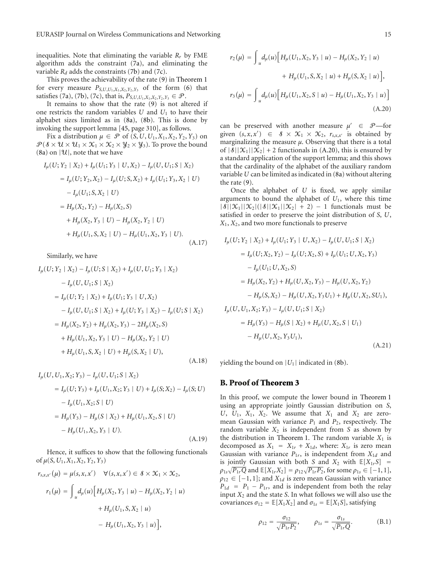inequalities. Note that eliminating the variable  $R_r$  by FME algorithm adds the constraint (7a), and eliminating the variable  $R_d$  adds the constraints (7b) and (7c).

This proves the achievability of the rate (9) in Theorem 1 for every measure  $P_{S,U,U_1,X_1,X_2,Y_2,Y_3}$  of the form (6) that satisfies (7a), (7b), (7c), that is,  $P_{S,U,U_1,X_1,X_2,Y_2,Y_3} \in \mathcal{P}$ .

It remains to show that the rate (9) is not altered if one restricts the random variables  $U$  and  $U_1$  to have their alphabet sizes limited as in (8a), (8b). This is done by invoking the support lemma [45, page 310], as follows.

Fix a distribution  $\mu \in \mathcal{P}$  of  $(S, U, U_1, X_1, X_2, Y_2, Y_3)$  on  $P(3 \times U \times U_1 \times X_1 \times X_2 \times Y_2 \times Y_3)$ . To prove the bound (8a) on  $|\mathcal{U}|$ , note that we have

$$
I_{\mu}(U; Y_2 | X_2) + I_{\mu}(U_1; Y_3 | U, X_2) - I_{\mu}(U, U_1; S | X_2)
$$
  
\n
$$
= I_{\mu}(U; Y_2, X_2) - I_{\mu}(U; S, X_2) + I_{\mu}(U_1; Y_3, X_2 | U)
$$
  
\n
$$
- I_{\mu}(U_1; S, X_2 | U)
$$
  
\n
$$
= H_{\mu}(X_2, Y_2) - H_{\mu}(X_2, S)
$$
  
\n
$$
+ H_{\mu}(X_2, Y_3 | U) - H_{\mu}(X_2, Y_2 | U)
$$
  
\n
$$
+ H_{\mu}(U_1, S, X_2 | U) - H_{\mu}(U_1, X_2, Y_3 | U).
$$
  
\n(A.17)

Similarly, we have

$$
I_{\mu}(U; Y_2 | X_2) - I_{\mu}(U; S | X_2) + I_{\mu}(U, U_1; Y_3 | X_2)
$$
  
\n
$$
- I_{\mu}(U, U_1; S | X_2)
$$
  
\n
$$
= I_{\mu}(U; Y_2 | X_2) + I_{\mu}(U_1; Y_3 | U, X_2)
$$
  
\n
$$
- I_{\mu}(U, U_1; S | X_2) + I_{\mu}(U; Y_3 | X_2) - I_{\mu}(U; S | X_2)
$$
  
\n
$$
= H_{\mu}(X_2, Y_2) + H_{\mu}(X_2, Y_3) - 2H_{\mu}(X_2, S)
$$
  
\n
$$
+ H_{\mu}(U_1, X_2, Y_3 | U) - H_{\mu}(X_2, Y_2 | U)
$$
  
\n
$$
+ H_{\mu}(U_1, S, X_2 | U) + H_{\mu}(S, X_2 | U),
$$
\n(A.18)

$$
I_{\mu}(U, U_1, X_2; Y_3) - I_{\mu}(U, U_1; S | X_2)
$$
  
=  $I_{\mu}(U; Y_3) + I_{\mu}(U_1, X_2; Y_3 | U) + I_{\mu}(S; X_2) - I_{\mu}(S; U)$   
 $- I_{\mu}(U_1, X_2; S | U)$   
=  $H_{\mu}(Y_3) - H_{\mu}(S | X_2) + H_{\mu}(U_1, X_2, S | U)$   
 $- H_{\mu}(U_1, X_2, Y_3 | U).$  (A.19)

Hence, it suffices to show that the following functionals of  $\mu$ (*S*,  $U_1$ ,  $X_1$ ,  $X_2$ ,  $Y_2$ ,  $Y_3$ )

$$
r_{s,x,x'}(\mu) = \mu(s, x, x') \quad \forall (s, x, x') \in \mathcal{S} \times \mathcal{X}_1 \times \mathcal{X}_2,
$$
  

$$
r_1(\mu) = \int_{u} d_{\mu}(u) \Big[ H_{\mu}(X_2, Y_3 \mid u) - H_{\mu}(X_2, Y_2 \mid u) + H_{\mu}(U_1, S, X_2 \mid u) - H_{\mu}(U_1, X_2, Y_3 \mid u) \Big],
$$

$$
r_2(\mu) = \int_u d_\mu(u) \Big[ H_\mu(U_1, X_2, Y_3 \mid u) - H_\mu(X_2, Y_2 \mid u) + H_\mu(U_1, S, X_2 \mid u) + H_\mu(S, X_2 \mid u) \Big],
$$
  

$$
r_3(\mu) = \int_u d_\mu(u) \Big[ H_\mu(U_1, X_2, S \mid u) - H_\mu(U_1, X_2, Y_3 \mid u) \Big]
$$
  
(A.20)

can be preserved with another measure  $\mu' \in \mathcal{P}$ —for given  $(s, x, x') \in \mathcal{S} \times \mathcal{X}_1 \times \mathcal{X}_2$ ,  $r_{s, x, x'}$  is obtained by marginalizing the measure  $\mu$ . Observing that there is a total of  $|\mathcal{S}||\mathcal{X}_1||\mathcal{X}_2| + 2$  functionals in (A.20), this is ensured by a standard application of the support lemma; and this shows that the cardinality of the alphabet of the auxiliary random variable *U* can be limited as indicated in (8a) without altering the rate (9).

Once the alphabet of *U* is fixed, we apply similar arguments to bound the alphabet of  $U_1$ , where this time  $|\mathcal{S}||\mathcal{X}_1||\mathcal{X}_2|(|\mathcal{S}||\mathcal{X}_1||\mathcal{X}_2| + 2) - 1$  functionals must be satisfied in order to preserve the joint distribution of *S*, *U*, *X*1, *X*2, and two more functionals to preserve

$$
I_{\mu}(U; Y_2 | X_2) + I_{\mu}(U_1; Y_3 | U, X_2) - I_{\mu}(U, U_1; S | X_2)
$$
  
\n
$$
= I_{\mu}(U; X_2, Y_2) - I_{\mu}(U; X_2, S) + I_{\mu}(U_1; U, X_2, Y_3)
$$
  
\n
$$
- I_{\mu}(U_1; U, X_2, S)
$$
  
\n
$$
= H_{\mu}(X_2, Y_2) + H_{\mu}(U, X_2, Y_3) - H_{\mu}(U, X_2, Y_2)
$$
  
\n
$$
- H_{\mu}(S, X_2) - H_{\mu}(U, X_2, Y_3 U_1) + H_{\mu}(U, X_2, SU_1),
$$
  
\n
$$
I_{\mu}(U, U_1, X_2; Y_3) - I_{\mu}(U, U_1; S | X_2)
$$
  
\n
$$
= H_{\mu}(Y_3) - H_{\mu}(S | X_2) + H_{\mu}(U, X_2, S | U_1)
$$
  
\n
$$
- H_{\mu}(U, X_2, Y_3 U_1),
$$
  
\n(A.21)

yielding the bound on  $|U_1|$  indicated in (8b).

## **B. Proof of Theorem 3**

In this proof, we compute the lower bound in Theorem 1 using an appropriate jointly Gaussian distribution on *S*, *U*,  $U_1$ ,  $X_1$ ,  $X_2$ . We assume that  $X_1$  and  $X_2$  are zeromean Gaussian with variance  $P_1$  and  $P_2$ , respectively. The random variable  $X_2$  is independent from *S* as shown by the distribution in Theorem 1. The random variable  $X_1$  is decomposed as  $X_1 = X_{1r} + X_{1d}$ , where:  $X_{1r}$  is zero mean Gaussian with variance  $P_{1r}$ , is independent from  $X_{1d}$  and is jointly Gaussian with both *S* and  $X_2$  with  $\mathbb{E}[X_1, S] =$  $\rho_{1s} \sqrt{P_{1r}Q}$  and  $\mathbb{E}[X_{1r}X_2] = \rho_{12} \sqrt{P_{1r}P_2}$ , for some  $\rho_{1s} \in [-1, 1]$ ,  $\rho_{12} \in [-1, 1]$ ; and  $X_{1d}$  is zero mean Gaussian with variance  $P_{1d} = P_1 - P_{1r}$ , and is independent from both the relay input *X*<sup>2</sup> and the state *S*. In what follows we will also use the covariances  $\sigma_{12} = \mathbb{E}[X_1 X_2]$  and  $\sigma_{1s} = \mathbb{E}[X_1 S]$ , satisfying

$$
\rho_{12} = \frac{\sigma_{12}}{\sqrt{P_{1r}P_2}}, \qquad \rho_{1s} = \frac{\sigma_{1s}}{\sqrt{P_{1r}Q}}.
$$
 (B.1)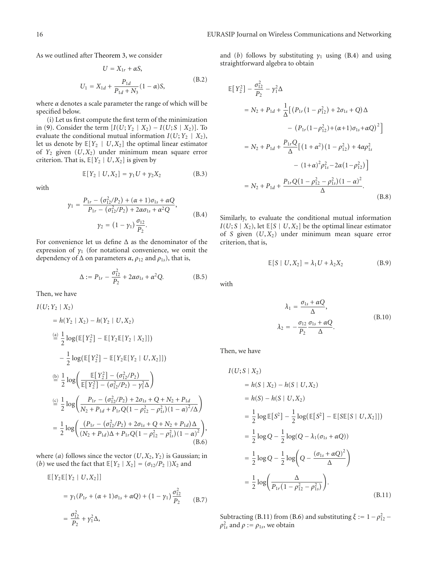As we outlined after Theorem 3, we consider

$$
U = X_{1r} + \alpha S,
$$
  
\n
$$
U_1 = X_{1d} + \frac{P_{1d}}{P_{1d} + N_3} (1 - \alpha) S,
$$
 (B.2)

where *α* denotes a scale parameter the range of which will be specified below.

(i) Let us first compute the first term of the minimization in (9). Consider the term [*I*(*U*;*Y*<sup>2</sup> | *X*2) − *I*(*U*; *S* | *X*2)]. To evaluate the conditional mutual information  $I(U; Y_2 | X_2)$ , let us denote by  $E[Y_2 | U, X_2]$  the optimal linear estimator of *Y*<sup>2</sup> given (*U*,*X*2) under minimum mean square error criterion. That is,  $\mathbb{E}[Y_2 | U, X_2]$  is given by

$$
\mathbb{E}[Y_2 | U, X_2] = \gamma_1 U + \gamma_2 X_2 \tag{B.3}
$$

with

$$
\gamma_1 = \frac{P_{1r} - (\sigma_{12}^2/P_2) + (\alpha + 1)\sigma_{1s} + \alpha Q}{P_{1r} - (\sigma_{12}^2/P_2) + 2\alpha\sigma_{1s} + \alpha^2 Q},
$$
\n
$$
\gamma_2 = (1 - \gamma_1) \frac{\sigma_{12}}{P_2}.
$$
\n(B.4)

For convenience let us define  $\Delta$  as the denominator of the expression of  $y_1$  (for notational convenience, we omit the dependency of  $\Delta$  on parameters  $\alpha$ ,  $\rho_{12}$  and  $\rho_{1s}$ ), that is,

$$
\Delta := P_{1r} - \frac{\sigma_{12}^2}{P_2} + 2\alpha \sigma_{1s} + \alpha^2 Q.
$$
 (B.5)

Then, we have

$$
I(U; Y_2 | X_2)
$$
  
=  $h(Y_2 | X_2) - h(Y_2 | U, X_2)$   

$$
\stackrel{(a)}{=} \frac{1}{2} \log \left( \mathbb{E}[Y_2^2] - \mathbb{E}[Y_2 \mathbb{E}[Y_2 | X_2]] \right)
$$
  

$$
- \frac{1}{2} \log \left( \mathbb{E}[Y_2^2] - \mathbb{E}[Y_2 \mathbb{E}[Y_2 | U, X_2]] \right)
$$
  

$$
\stackrel{(b)}{=} \frac{1}{2} \log \left( \frac{\mathbb{E}[Y_2^2] - (\sigma_{12}^2/P_2)}{\mathbb{E}[Y_2^2] - (\sigma_{12}^2/P_2) - \gamma_1^2 \Delta} \right)
$$
  

$$
\stackrel{(c)}{=} \frac{1}{2} \log \left( \frac{P_{1r} - (\sigma_{12}^2/P_2) + 2\sigma_{1s} + Q + N_2 + P_{1d}}{N_2 + P_{1d} + P_{1r}Q(1 - \rho_{12}^2 - \rho_{1s}^2)(1 - \alpha)^2/\Delta} \right)
$$
  

$$
= \frac{1}{2} \log \left( \frac{(P_{1r} - (\sigma_{12}^2/P_2) + 2\sigma_{1s} + Q + N_2 + P_{1d})\Delta}{(N_2 + P_{1d})\Delta + P_{1r}Q(1 - \rho_{12}^2 - \rho_{1s}^2)(1 - \alpha)^2} \right),
$$
  
(B.6)

where (*a*) follows since the vector  $(U, X_2, Y_2)$  is Gaussian; in (*b*) we used the fact that  $\mathbb{E}[Y_2 | X_2] = (\sigma_{12}/P_2 |)X_2$  and

$$
\mathbb{E}[Y_2 \mathbb{E}[Y_2 | U, X_2]]
$$
  
=  $\gamma_1 (P_{1r} + (\alpha + 1)\sigma_{1s} + \alpha Q) + (1 - \gamma_1) \frac{\sigma_{12}^2}{P_2}$  (B.7)  
=  $\frac{\sigma_{12}^2}{P_2} + \gamma_1^2 \Delta$ ,

and (*b*) follows by substituting  $\gamma_1$  using (B.4) and using straightforward algebra to obtain

$$
\mathbb{E}[Y_2^2] - \frac{\sigma_{12}^2}{P_2} - \gamma_1^2 \Delta
$$
  
=  $N_2 + P_{1d} + \frac{1}{\Delta} [(P_{1r}(1 - \rho_{12}^2) + 2\sigma_{1s} + Q)\Delta$   

$$
- (P_{1r}(1 - \rho_{12}^2) + (\alpha + 1)\sigma_{1s} + \alpha Q)^2]
$$
  
=  $N_2 + P_{1d} + \frac{P_{1r}Q}{\Delta} [(1 + \alpha^2)(1 - \rho_{12}^2) + 4\alpha \rho_{1s}^2 - (1 + \alpha)^2 \rho_{1s}^2 - 2\alpha (1 - \rho_{12}^2)]$   
=  $N_2 + P_{1d} + \frac{P_{1r}Q(1 - \rho_{12}^2 - \rho_{1s}^2)(1 - \alpha)^2}{\Delta}.$  (B.8)

Similarly, to evaluate the conditional mutual information  $I(U; S | X_2)$ , let  $E[S | U, X_2]$  be the optimal linear estimator of *S* given (*U*,*X*2) under minimum mean square error criterion, that is,

$$
\mathbb{E}[S \mid U, X_2] = \lambda_1 U + \lambda_2 X_2 \tag{B.9}
$$

with

,

$$
\lambda_1 = \frac{\sigma_{1s} + \alpha Q}{\Delta},
$$
\n
$$
\lambda_2 = -\frac{\sigma_{12}}{P_2} \frac{\sigma_{1s} + \alpha Q}{\Delta}.
$$
\n(B.10)

Then, we have

$$
I(U; S | X_2)
$$
  
=  $h(S | X_2) - h(S | U, X_2)$   
=  $h(S) - h(S | U, X_2)$   
=  $\frac{1}{2} \log \mathbb{E}[S^2] - \frac{1}{2} \log(\mathbb{E}[S^2] - \mathbb{E}[S\mathbb{E}[S | U, X_2]])$   
=  $\frac{1}{2} \log Q - \frac{1}{2} \log(Q - \lambda_1(\sigma_{1s} + \alpha Q))$   
=  $\frac{1}{2} \log Q - \frac{1}{2} \log(Q - \frac{(\sigma_{1s} + \alpha Q)^2}{\Delta})$   
=  $\frac{1}{2} \log(\frac{\Delta}{P_{1r}(1 - \rho_{12}^2 - \rho_{1s}^2)})$ . (B.11)

Subtracting (B.11) from (B.6) and substituting  $\xi := 1 - \rho_{12}^2$  –  $\rho_{1s}^2$  and  $\rho := \rho_{1s}$ , we obtain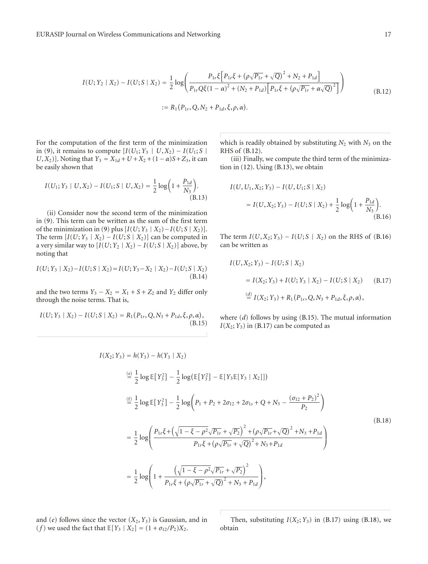For the computation of the first term of the minimization in (9), it remains to compute [*I*(*U*1;*Y*<sup>3</sup> | *U*,*X*2) − *I*(*U*1; *S* | *U*,*X*<sub>2</sub>)]. Noting that *Y*<sub>3</sub> = *X*<sub>1</sub>*d* + *U* + *X*<sub>2</sub> + (1−*α*)*S* + *Z*<sub>3</sub>, it can be easily shown that

$$
I(U_1; Y_3 | U, X_2) - I(U_1; S | U, X_2) = \frac{1}{2} \log \left( 1 + \frac{P_{1d}}{N_3} \right).
$$
\n(B.13)

(ii) Consider now the second term of the minimization in (9). This term can be written as the sum of the first term of the minimization in (9) plus  $[I(U; Y_3 | X_2) - I(U; S | X_2)].$ The term  $[I(U; Y_3 | X_2) - I(U; S | X_2)]$  can be computed in a very similar way to  $[I(U; Y_2 | X_2) - I(U; S | X_2)]$  above, by noting that

$$
I(U; Y_3 | X_2) - I(U; S | X_2) = I(U; Y_3 - X_2 | X_2) - I(U; S | X_2)
$$
\n(B.14)

and the two terms  $Y_3 - X_2 = X_1 + S + Z_2$  and  $Y_2$  differ only through the noise terms. That is,

$$
I(U; Y_3 | X_2) - I(U; S | X_2) = R_1(P_{1r}, Q, N_3 + P_{1d}, \xi, \rho, \alpha),
$$
\n(B.15)

which is readily obtained by substituting *N*<sup>2</sup> with *N*<sup>3</sup> on the RHS of (B.12).

(iii) Finally, we compute the third term of the minimization in  $(12)$ . Using  $(B.13)$ , we obtain

$$
I(U, U_1, X_2; Y_3) - I(U, U_1; S | X_2)
$$
  
=  $I(U, X_2; Y_3) - I(U; S | X_2) + \frac{1}{2} \log \left( 1 + \frac{P_{1d}}{N_3} \right)$ . (B.16)

The term  $I(U, X_2; Y_3) - I(U; S | X_2)$  on the RHS of (B.16) can be written as

$$
I(U, X_2; Y_3) - I(U; S | X_2)
$$
  
=  $I(X_2; Y_3) + I(U; Y_3 | X_2) - I(U; S | X_2)$  (B.17)  

$$
\stackrel{(d)}{=} I(X_2; Y_3) + R_1(P_{1r}, Q, N_3 + P_{1d}, \xi, \rho, \alpha),
$$

where (*d*) follows by using (B.15). The mutual information  $I(X_2; Y_3)$  in (B.17) can be computed as

$$
I(X_2; Y_3) = h(Y_3) - h(Y_3 | X_2)
$$
  
\n
$$
\stackrel{(e)}{=} \frac{1}{2} \log \mathbb{E}[Y_3^2] - \frac{1}{2} \log (\mathbb{E}[Y_3^2] - \mathbb{E}[Y_3 \mathbb{E}[Y_3 | X_2]])
$$
  
\n
$$
\stackrel{(f)}{=} \frac{1}{2} \log \mathbb{E}[Y_3^2] - \frac{1}{2} \log \left( P_1 + P_2 + 2\sigma_{12} + 2\sigma_{1s} + Q + N_3 - \frac{(\sigma_{12} + P_2)^2}{P_2} \right)
$$
  
\n
$$
= \frac{1}{2} \log \left( \frac{P_{1r} \xi + \left( \sqrt{1 - \xi - \rho^2} \sqrt{P_{1r}} + \sqrt{P_2} \right)^2 + (\rho \sqrt{P_{1r}} + \sqrt{Q})^2 + N_3 + P_{1d}}{P_{1r} \xi + (\rho \sqrt{P_{1r}} + \sqrt{Q})^2 + N_3 + P_{1d}} \right)
$$
  
\n
$$
= \frac{1}{2} \log \left( 1 + \frac{\left( \sqrt{1 - \xi - \rho^2} \sqrt{P_{1r}} + \sqrt{P_2} \right)^2}{P_{1r} \xi + (\rho \sqrt{P_{1r}} + \sqrt{Q})^2 + N_3 + P_{1d}} \right),
$$
  
\n(B.18)

and  $(e)$  follows since the vector  $(X_2, Y_3)$  is Gaussian, and in (*f*) we used the fact that  $\mathbb{E}[Y_3 | X_2] = (1 + \sigma_{12}/P_2)X_2$ .

Then, substituting  $I(X_2; Y_3)$  in (B.17) using (B.18), we obtain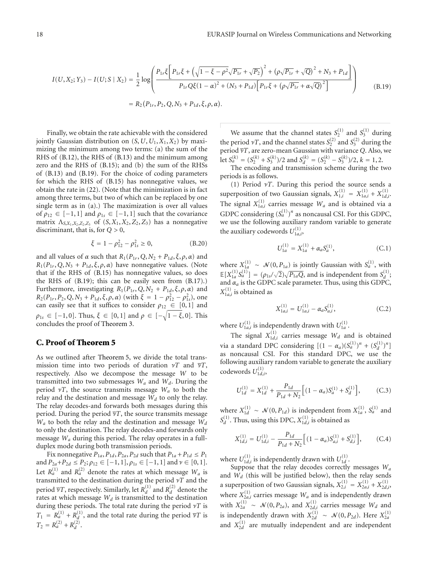$$
I(U, X_2; Y_3) - I(U; S | X_2) = \frac{1}{2} \log \left( \frac{P_{1r} \xi \left[ P_{1r} \xi + \left( \sqrt{1 - \xi - \rho^2} \sqrt{P_{1r}} + \sqrt{P_2} \right)^2 + \left( \rho \sqrt{P_{1r}} + \sqrt{Q} \right)^2 + N_3 + P_{1d} \right]}{P_{1r} Q \xi (1 - \alpha)^2 + (N_3 + P_{1d}) \left[ P_{1r} \xi + \left( \rho \sqrt{P_{1r}} + \alpha \sqrt{Q} \right)^2 \right]} \right)
$$
\n
$$
= R_2 (P_{1r}, P_2, Q, N_3 + P_{1d}, \xi, \rho, \alpha).
$$
\n(B.19)

Finally, we obtain the rate achievable with the considered jointly Gaussian distribution on  $(S, U, U_1, X_1, X_2)$  by maximizing the minimum among two terms: (a) the sum of the RHS of (B.12), the RHS of (B.13) and the minimum among zero and the RHS of (B.15); and (b) the sum of the RHSs of (B.13) and (B.19). For the choice of coding parameters for which the RHS of (B.15) has nonnegative values, we obtain the rate in (22). (Note that the minimization is in fact among three terms, but two of which can be replaced by one single term as in (a).) The maximization is over all values of  $\rho_{12} \in [-1, 1]$  and  $\rho_{1s} \in [-1, 1]$  such that the covariance matrix  $\Lambda_{S,X_1,X_2,Z_2,Z_3}$  of  $(S, X_1, X_2, Z_2, Z_3)$  has a nonnegative discriminant, that is, for *Q >* 0,

$$
\xi = 1 - \rho_{12}^2 - \rho_{1s}^2 \ge 0, \tag{B.20}
$$

and all values of  $\alpha$  such that  $R_1(P_{1r}, Q, N_2 + P_{1d}, \xi, \rho, \alpha)$  and  $R_1(P_{1r}, Q, N_3 + P_{1d}, \xi, \rho, \alpha)$  have nonnegative values. (Note that if the RHS of (B.15) has nonnegative values, so does the RHS of (B.19); this can be easily seen from (B.17).) Furthermore, investigating  $R_1(P_{1r}, Q, N_2 + P_{1d}, \xi, \rho, \alpha)$  and *R*<sub>2</sub>(*P*<sub>1*r*</sub>, *P*<sub>2</sub>, *Q*, *N*<sub>3</sub> + *P*<sub>1*d*</sub>, *ξ*, *ρ*, *α*) (with *ξ* = 1 − *ρ*<sup>2</sup><sub>12</sub> − *ρ*<sup>2</sup><sub>15</sub>), one can easily see that it suffices to consider  $\rho_{12} \in [0,1]$  and *ρ*<sub>1*s*</sub> ∈ [−1, 0]. Thus,  $\xi$  ∈ [0, 1] and  $\rho$  ∈ [− $\sqrt{1-\xi}$ , 0]. This concludes the proof of Theorem 3.

## **C. Proof of Theorem 5**

As we outlined after Theorem 5, we divide the total transmission time into two periods of duration  $\nu T$  and  $\nu T$ , respectively. Also we decompose the message *W* to be transmitted into two submessages  $W_a$  and  $W_d$ . During the period *νT*, the source transmits message *Wa* to both the relay and the destination and message *Wd* to only the relay. The relay decodes-and forwards both messages during this period. During the period *νT*, the source transmits message *Wa* to both the relay and the destination and message *Wd* to only the destination. The relay decodes-and forwards only message *Wa* during this period. The relay operates in a fullduplex mode during both transmission periods.

Fix nonnegative  $P_{1a}$ ,  $P_{1d}$ ,  $P_{2a}$ ,  $P_{2d}$  such that  $P_{1a} + P_{1d} \leq P_1$ and  $P_{2a}+P_{2d} \le P_2$ ;  $\rho_{12} \in [-1,1], \rho_{1s} \in [-1,1]$  and  $\nu \in [0,1]$ . Let  $R_a^{(1)}$  and  $R_a^{(2)}$  denote the rates at which message  $W_a$  is transmitted to the destination during the period *νT* and the period  $\overline{\nu}T$ , respectively. Similarly, let  $R_d^{(1)}$  and  $R_d^{(2)}$  denote the rates at which message  $W_d$  is transmitted to the destination during these periods. The total rate during the period *νT* is  $T_1 = R_a^{(1)} + R_d^{(1)}$ , and the total rate during the period  $\bar{\nu}T$  is  $T_2 = R_a^{(2)} + R_d^{(2)}$ .

We assume that the channel states  $S_2^{(1)}$  and  $S_3^{(1)}$  during the period  $vT$ , and the channel states  $S_2^{(2)}$  and  $S_3^{(2)}$  during the period *νT*, are zero-mean Gaussian with variance *Q*. Also, we let  $S_a^{(k)} = (S_2^{(k)} + S_3^{(k)})/2$  and  $S_d^{(k)} = (S_2^{(k)} - S_3^{(k)})/2$ ,  $k = 1, 2$ .

The encoding and transmission scheme during the two periods is as follows.

(1) Period *νT*. During this period the source sends a superposition of two Gaussian signals,  $X_{1,i}^{(1)} = X_{1a,i}^{(1)} + X_{1d,i}^{(1)}$ . The signal  $X_{1a,i}^{(1)}$  carries message  $W_a$  and is obtained via a GDPC considering  $(S_a^{(1)})^n$  as noncausal CSI. For this GDPC, we use the following auxiliary random variable to generate the auxiliary codewords  $U_{1a,i}^{(1)}$ ,

$$
U_{1a}^{(1)} = X_{1a}^{(1)} + \alpha_a S_a^{(1)}, \tag{C.1}
$$

where  $X_{1a}^{(1)} \sim \mathcal{N}(0, P_{1a})$  is jointly Gaussian with  $S_a^{(1)}$ , with  $\mathbb{E}[X_{1a}^{(1)}S_a^{(1)}] = (\rho_{1s}/\sqrt{2})\sqrt{P_{1a}Q}$ , and is independent from  $S_d^{(1)}$ ; and  $\alpha_a$  is the GDPC scale parameter. Thus, using this GDPC,  $X^{(1)}_{1a,i}$  is obtained as

$$
X_{1a,i}^{(1)} = U_{1a,i}^{(1)} - \alpha_a S_{a,i}^{(1)}, \tag{C.2}
$$

where  $U_{1a,i}^{(1)}$  is independently drawn with  $U_{1a}^{(1)}$ .

The signal  $X_{1d,i}^{(1)}$  carries message  $W_d$  and is obtained via a standard DPC considering  $[(1 - \alpha_a)(S_a^{(1)})^n + (S_d^{(1)})^n]$ as noncausal CSI. For this standard DPC, we use the following auxiliary random variable to generate the auxiliary codewords  $U_{1d,i}^{(1)}$ ,

$$
U_{1d}^{(1)} = X_{1d}^{(1)} + \frac{P_{1d}}{P_{1d} + N_2} \Big[ (1 - \alpha_a) S_a^{(1)} + S_d^{(1)} \Big], \qquad (C.3)
$$

where  $X_{1d}^{(1)} \sim \mathcal{N}(0, P_{1d})$  is independent from  $X_{1a}^{(1)}$ ,  $S_a^{(1)}$  and  $S_d^{(1)}$ . Thus, using this DPC,  $X_{1d,i}^{(1)}$  is obtained as

$$
X_{1d,i}^{(1)} = U_{1d,i}^{(1)} - \frac{P_{1d}}{P_{1d} + N_2} \Big[ (1 - \alpha_a) S_{a,i}^{(1)} + S_{d,i}^{(1)} \Big], \qquad (C.4)
$$

where  $U_{1d,i}^{(1)}$  is independently drawn with  $U_{1d}^{(1)}$ .

Suppose that the relay decodes correctly messages *Wa* and *Wd* (this will be justified below), then the relay sends a superposition of two Gaussian signals,  $X_{2,i}^{(1)} = X_{2a,i}^{(1)} + X_{2d,i}^{(1)}$ where  $X_{2a,i}^{(1)}$  carries message  $W_a$  and is independently drawn with  $X_{2a}^{(1)} \sim \mathcal{N}(0, P_{2a})$ , and  $X_{2d,i}^{(1)}$  carries message  $W_d$  and is independently drawn with  $X_{2d}^{(1)} \sim \mathcal{N}(0, P_{2d})$ . Here  $X_{2a}^{(1)}$ and  $X_{2d}^{(1)}$  are mutually independent and are independent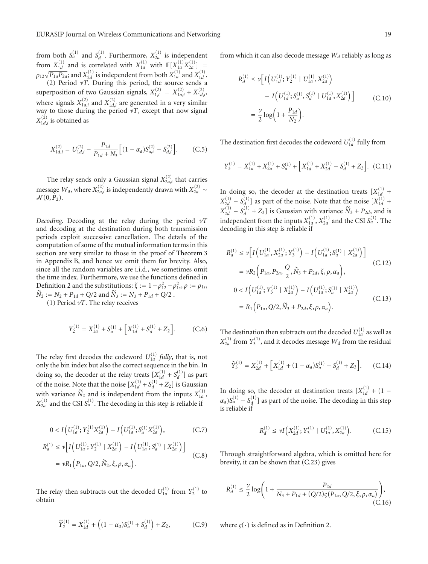from both  $S_a^{(1)}$  and  $S_d^{(1)}$ . Furthermore,  $X_{2a}^{(1)}$  is independent from  $X_{1d}^{(1)}$  and is correlated with  $X_{1a}^{(1)}$  with  $\mathbb{E}[X_{1a}^{(1)}X_{2a}^{(1)}] =$  $\rho_{12}\sqrt{P_{1a}P_{2a}}$ ; and  $X_{2d}^{(1)}$  is independent from both  $X_{1a}^{(1)}$  and  $X_{1d}^{(1)}$ .

(2) Period *νT*. During this period, the source sends a superposition of two Gaussian signals,  $X_{1,i}^{(2)} = X_{1a,i}^{(2)} + X_{1d,i}^{(2)}$ where signals  $X_{1a,i}^{(2)}$  and  $X_{1d,i}^{(2)}$  are generated in a very similar way to those during the period *νT*, except that now signal  $X^{(2)}_{1d,i}$  is obtained as

$$
X_{1d,i}^{(2)} = U_{1d,i}^{(2)} - \frac{P_{1d}}{P_{1d} + N_3} \Big[ (1 - \alpha_a) S_{a,i}^{(2)} - S_{d,i}^{(2)} \Big]. \tag{C.5}
$$

The relay sends only a Gaussian signal  $X_{2a,i}^{(2)}$  that carries message  $W_a$ , where  $X_{2a,i}^{(2)}$  is independently drawn with  $X_{2a}^{(2)} \sim$  $N(0, P_2)$ .

*Decoding.* Decoding at the relay during the period *νT* and decoding at the destination during both transmission periods exploit successive cancellation. The details of the computation of some of the mutual information terms in this section are very similar to those in the proof of Theorem 3 in Appendix B, and hence we omit them for brevity. Also, since all the random variables are i.i.d., we sometimes omit the time index. Furthermore, we use the functions defined in Definition 2 and the substitutions: *ξ* := 1−*ρ*<sup>2</sup><sub>12</sub> − *ρ*<sup>2</sup><sub>1s</sub>, *ρ* := *ρ*<sub>1s</sub>,  $\widetilde{N}_2 := N_2 + P_{1d} + Q/2$  and  $\widetilde{N}_3 := N_3 + P_{1d} + Q/2$ .

(1) Period *νT*. The relay receives

$$
Y_2^{(1)} = X_{1a}^{(1)} + S_a^{(1)} + \left[ X_{1d}^{(1)} + S_d^{(1)} + Z_2 \right].
$$
 (C.6)

The relay first decodes the codeword  $U_{1a}^{(1)}$  *fully*, that is, not only the bin index but also the correct sequence in the bin. In doing so, the decoder at the relay treats  $[X_{1d}^{(1)} + S_d^{(1)}]$  as part of the noise. Note that the noise  $[X_{1d}^{(1)} + S_d^{(1)} + Z_2]$  is Gaussian with variance  $\widetilde{N}_2$  and is independent from the inputs  $X_{1a}^{(1)}$ ,  $X_{2a}^{(1)}$  and the CSI  $S_a^{(1)}$ . The decoding in this step is reliable if

$$
0 < I\left(U_{1a}^{(1)}; Y_2^{(1)} X_{2a}^{(1)}\right) - I\left(U_{1a}^{(1)}; S_a^{(1)} X_{2a}^{(1)}\right),\tag{C.7}
$$

$$
R_a^{(1)} \le \nu \Big[ I\Big(U_{1a}^{(1)}; Y_2^{(1)} | X_{2a}^{(1)}\Big) - I\Big(U_{1a}^{(1)}; S_a^{(1)} | X_{2a}^{(1)}\Big) \Big] = \nu R_1 \Big(P_{1a}, Q/2, \tilde{N}_2, \xi, \rho, \alpha_a \Big).
$$
 (C.8)

The relay then subtracts out the decoded  $U_{1a}^{(1)}$  from  $Y_2^{(1)}$  to obtain

$$
\widetilde{Y}_{2}^{(1)} = X_{1d}^{(1)} + \left( (1 - \alpha_a) S_a^{(1)} + S_d^{(1)} \right) + Z_2, \tag{C.9}
$$

from which it can also decode message *Wd* reliably as long as

$$
R_d^{(1)} \le \nu \Big[ I\Big(U_{1d}^{(1)}; Y_2^{(1)} | U_{1a}^{(1)}, X_{2a}^{(1)}\Big) - I\Big(U_{1d}^{(1)}; S_a^{(1)}, S_d^{(1)} | U_{1a}^{(1)}, X_{2a}^{(1)}\Big) \Big] - \frac{\nu}{2} \log \Big(1 + \frac{P_{1d}}{N_2}\Big).
$$
 (C.10)

The destination first decodes the codeword  $U_{1a}^{(1)}$  fully from

$$
Y_3^{(1)} = X_{1a}^{(1)} + X_{2a}^{(1)} + S_a^{(1)} + \left[ X_{1d}^{(1)} + X_{2d}^{(1)} - S_d^{(1)} + Z_3 \right].
$$
 (C.11)

In doing so, the decoder at the destination treats  $[X_{1d}^{(1)}]$  +  $X_{2d}^{(1)} - S_d^{(1)}$ ] as part of the noise. Note that the noise  $[X_{1d}^{(1)} + S_d^{(2)}]$  $X_{2d}^{(1)} - S_d^{(1)} + Z_3$  is Gaussian with variance  $\widetilde{N}_3 + P_{2d}$ , and is independent from the inputs  $X_{1a}^{(1)}$ ,  $X_{2a}^{(1)}$  and the CSI  $S_a^{(1)}$ . The decoding in this step is reliable if

$$
R_a^{(1)} \le \nu \Big[ I\Big(U_{1a}^{(1)}, X_{2a}^{(1)}; Y_3^{(1)}\Big) - I\Big(U_{1a}^{(1)}; S_a^{(1)} | X_{2a}^{(1)}\Big)\Big] = \nu R_2 \Big(P_{1a}, P_{2a}, \frac{Q}{2}, \tilde{N}_3 + P_{2d}, \xi, \rho, \alpha_a\Big), 0 < I\Big(U_{1a}^{(1)}; Y_3^{(1)} | X_{2a}^{(1)}\Big) - I\Big(U_{1a}^{(1)}; S_a^{(1)} | X_{2a}^{(1)}\Big) = R_1 \Big(P_{1a}, Q/2, \tilde{N}_3 + P_{2d}, \xi, \rho, \alpha_a\Big).
$$
 (C.13)

The destination then subtracts out the decoded  $U_{1a}^{(1)}$  as well as  $X_{2a}^{(1)}$  from  $Y_3^{(1)}$ , and it decodes message  $W_d$  from the residual

$$
\widetilde{Y}_3^{(1)} = X_{2d}^{(1)} + \left[ X_{1d}^{(1)} + (1 - \alpha_a) S_a^{(1)} - S_d^{(1)} + Z_3 \right].
$$
 (C.14)

In doing so, the decoder at destination treats  $[X_{1d}^{(1)} + (1 \alpha_a$ ) $S_a^{(1)} - S_d^{(1)}$ ] as part of the noise. The decoding in this step is reliable if

$$
R_d^{(1)} \le \nu I\left(X_{2d}^{(1)}; Y_3^{(1)} \mid U_{1a}^{(1)}, X_{2a}^{(1)}\right). \tag{C.15}
$$

Through straightforward algebra, which is omitted here for brevity, it can be shown that (C.23) gives

$$
R_d^{(1)} \le \frac{\nu}{2} \log \left( 1 + \frac{P_{2d}}{N_3 + P_{1d} + (Q/2)\varsigma(P_{1a}, Q/2, \xi, \rho, \alpha_a)} \right),\tag{C.16}
$$

where  $\varsigma(\cdot)$  is defined as in Definition 2.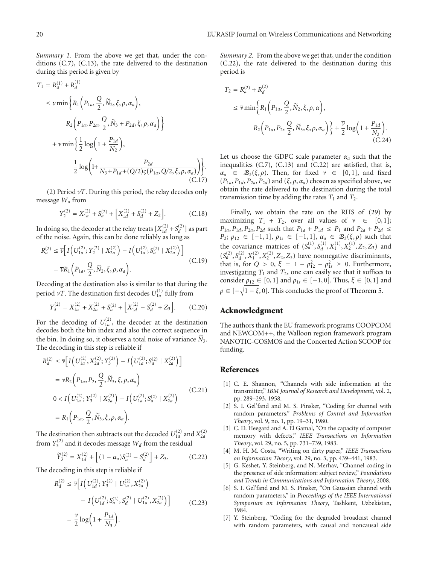*Summary 1.* From the above we get that, under the conditions (C.7), (C.13), the rate delivered to the destination during this period is given by

$$
T_1 = R_a^{(1)} + R_d^{(1)}
$$
  
\n
$$
\leq \nu \min \left\{ R_1 \left( P_{1a}, \frac{Q}{2}, \tilde{N}_2, \xi, \rho, \alpha_a \right), \right\}
$$
  
\n
$$
R_2 \left( P_{1a}, P_{2a}, \frac{Q}{2}, \tilde{N}_3 + P_{2d}, \xi, \rho, \alpha_a \right) \right\}
$$
  
\n
$$
+ \nu \min \left\{ \frac{1}{2} \log \left( 1 + \frac{P_{1d}}{N_2} \right), \right\}
$$
  
\n
$$
- \frac{1}{2} \log \left( 1 + \frac{P_{2d}}{N_3 + P_{1d} + (Q/2) \varsigma (P_{1a}, Q/2, \xi, \rho, \alpha_a)} \right) \right\}.
$$
  
\n(C.17)

(2) Period *νT*. During this period, the relay decodes only message *Wa* from

$$
Y_2^{(2)} = X_{1a}^{(2)} + S_a^{(2)} + \left[ X_{1d}^{(2)} + S_d^{(2)} + Z_2 \right].
$$
 (C.18)

In doing so, the decoder at the relay treats  $[X_{1d}^{(2)} + S_d^{(2)}]$  as part of the noise. Again, this can be done reliably as long as

$$
R_a^{(2)} \le \overline{\nu} \Big[ I\Big(U_{1a}^{(2)}; Y_2^{(2)} | X_{2a}^{(2)}\Big) - I\Big(U_{1a}^{(2)}; S_a^{(2)} | X_{2a}^{(2)}\Big) \Big] = \overline{\nu} R_1 \Big(P_{1a}, \frac{Q}{2}, \widetilde{N}_2, \xi, \rho, \alpha_a \Big).
$$
 (C.19)

Decoding at the destination also is similar to that during the period *νT*. The destination first decodes *U*(1) <sup>1</sup>*<sup>a</sup>* fully from

$$
Y_3^{(2)} = X_{1a}^{(2)} + X_{2a}^{(2)} + S_a^{(2)} + \left[ X_{1d}^{(2)} - S_d^{(2)} + Z_3 \right].
$$
 (C.20)

For the decoding of  $U_{1a}^{(2)}$ , the decoder at the destination decodes both the bin index and also the correct sequence in the bin. In doing so, it observes a total noise of variance *N*3. The decoding in this step is reliable if

$$
R_a^{(2)} \le \overline{\nu} \Big[ I\Big(U_{1a}^{(2)}, X_{2a}^{(2)}; Y_3^{(2)}\Big) - I\Big(U_{1a}^{(2)}; S_a^{(2)} | X_{2a}^{(2)}\Big) \Big]
$$
  
\n
$$
= \overline{\nu} R_2 \Big(P_{1a}, P_{2}, \frac{Q}{2}, \tilde{N}_3, \xi, \rho, \alpha_a \Big)
$$
  
\n
$$
0 < I\Big(U_{1a}^{(2)}; Y_3^{(2)} | X_{2a}^{(2)}\Big) - I\Big(U_{1a}^{(2)}; S_a^{(2)} | X_{2a}^{(2)}\Big)
$$
  
\n
$$
= R_1 \Big(P_{1a}, \frac{Q}{2}, \tilde{N}_3, \xi, \rho, \alpha_a \Big).
$$
 (C.21)

The destination then subtracts out the decoded  $U_{1a}^{(2)}$  and  $X_{2a}^{(2)}$ from  $Y_3^{(2)}$  and it decodes message  $W_d$  from the residual

$$
\widetilde{Y}_3^{(2)} = X_{1d}^{(2)} + \left[ (1 - \alpha_a) S_a^{(2)} - S_d^{(2)} \right] + Z_3.
$$
 (C.22)

The decoding in this step is reliable if

$$
R_d^{(2)} \le \overline{\nu} \Big[ I\Big(U_{1d}^{(2)}; Y_3^{(2)} | U_{1a}^{(2)}, X_{2a}^{(2)}\Big) - I\Big(U_{1d}^{(2)}; S_a^{(2)}, S_d^{(2)} | U_{1a}^{(2)}, X_{2a}^{(2)}\Big) \Big] - \frac{\overline{\nu}}{2} \log \Big(1 + \frac{P_{1d}}{N_3}\Big).
$$
 (C.23)

*Summary 2.* From the above we get that, under the condition (C.22), the rate delivered to the destination during this period is

$$
T_2 = R_a^{(2)} + R_d^{(2)}
$$
  
\n
$$
\leq \overline{\nu} \min \left\{ R_1 \left( P_{1a}, \frac{Q}{2}, \widetilde{N}_2, \xi, \rho, \alpha \right), \right\}
$$
  
\n
$$
R_2 \left( P_{1a}, P_2, \frac{Q}{2}, \widetilde{N}_3, \xi, \rho, \alpha_a \right) \right\} + \frac{\overline{\nu}}{2} \log \left( 1 + \frac{P_{1d}}{N_3} \right). \tag{C.24}
$$

Let us choose the GDPC scale parameter  $\alpha_a$  such that the inequalities (C.7), (C.13) and (C.22) are satisfied, that is,  $\alpha_a \in \mathcal{B}_3(\xi, \rho)$ . Then, for fixed  $\nu \in [0, 1]$ , and fixed  $(P_{1a}, P_{1d}, P_{2a}, P_{2d})$  and  $(\xi, \rho, \alpha_a)$  chosen as specified above, we obtain the rate delivered to the destination during the total transmission time by adding the rates  $T_1$  and  $T_2$ .

Finally, we obtain the rate on the RHS of (29) by maximizing  $T_1 + T_2$ , over all values of  $\nu \in [0, 1]$ ;  $P_{1a}$ ,  $P_{1d}$ ,  $P_{2a}$ ,  $P_{2d}$  such that  $P_{1a} + P_{1d} \leq P_1$  and  $P_{2a} + P_{2d} \leq$ *P*<sub>2</sub>;  $\rho_{12}$  ∈ [−1, 1],  $\rho_{1s}$  ∈ [−1, 1],  $\alpha_a$  ∈  $\mathcal{B}_3(\xi, \rho)$  such that the covariance matrices of  $(S_a^{(1)}, S_a^{(1)}, X_1^{(1)}, X_2^{(1)}, Z_2, Z_3)$  and  $(S_a^{(2)}, S_d^{(2)}, X_1^{(2)}, X_2^{(2)}, Z_2, Z_3)$  have nonnegative discriminants, that is, for  $Q > 0$ ,  $\xi = 1 - \rho_{12}^2 - \rho_{1s}^2 \ge 0$ . Furthermore, investigating  $T_1$  and  $T_2$ , one can easily see that it suffices to consider  $\rho_{12} \in [0, 1]$  and  $\rho_{1s} \in [-1, 0]$ . Thus,  $\xi \in [0, 1]$  and  $\rho \in [-\sqrt{1-\xi},0]$ . This concludes the proof of Theorem 5.

## **Acknowledgment**

The authors thank the EU framework programs COOPCOM and NEWCOM++, the Walloon region framework program NANOTIC-COSMOS and the Concerted Action SCOOP for funding.

## **References**

- [1] C. E. Shannon, "Channels with side information at the transmitter," *IBM Journal of Research and Development*, vol. 2, pp. 289–293, 1958.
- [2] S. I. Gel'fand and M. S. Pinsker, "Coding for channel with random parameters," *Problems of Control and Information Theory*, vol. 9, no. 1, pp. 19–31, 1980.
- [3] C. D. Heegard and A. El Gamal, "On the capacity of computer memory with defects," *IEEE Transactions on Information Theory*, vol. 29, no. 5, pp. 731–739, 1983.
- [4] M. H. M. Costa, "Writing on dirty paper," *IEEE Transactions on Information Theory*, vol. 29, no. 3, pp. 439–441, 1983.
- [5] G. Keshet, Y. Steinberg, and N. Merhav, "Channel coding in the presence of side information: subject review," *Foundations and Trends in Communications and Information Theory*, 2008.
- [6] S. I. Gel'fand and M. S. Pinsker, "On Gaussian channel with random parameters," in *Proceedings of the IEEE International Symposium on Information Theory*, Tashkent, Uzbekistan, 1984.
- [7] Y. Steinberg, "Coding for the degraded broadcast channel with random parameters, with causal and noncausal side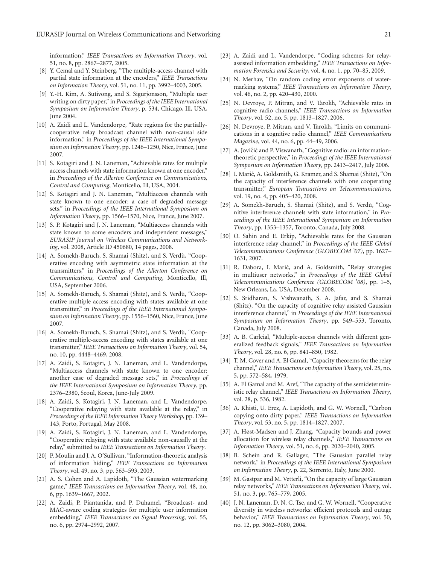information," *IEEE Transactions on Information Theory*, vol. 51, no. 8, pp. 2867–2877, 2005.

- [8] Y. Cemal and Y. Steinberg, "The multiple-access channel with partial state information at the encoders," *IEEE Transactions on Information Theory*, vol. 51, no. 11, pp. 3992–4003, 2005.
- [9] Y.-H. Kim, A. Sutivong, and S. Sigurjonsson, "Multiple user writing on dirty paper," in *Proceedings of the IEEE International Symposium on Information Theory*, p. 534, Chicago, Ill, USA, June 2004.
- [10] A. Zaidi and L. Vandendorpe, "Rate regions for the partiallycooperative relay broadcast channel with non-causal side information," in *Proceedings of the IEEE International Symposium on Information Theory*, pp. 1246–1250, Nice, France, June 2007.
- [11] S. Kotagiri and J. N. Laneman, "Achievable rates for multiple access channels with state information known at one encoder," in *Proceedings of the Allerton Conference on Communications, Control and Computing*, Monticello, Ill, USA, 2004.
- [12] S. Kotagiri and J. N. Laneman, "Multiaccess channels with state known to one encoder: a case of degraded message sets," in *Proceedings of the IEEE International Symposium on Information Theory*, pp. 1566–1570, Nice, France, June 2007.
- [13] S. P. Kotagiri and J. N. Laneman, "Multiaccess channels with state known to some encoders and independent messages," *EURASIP Journal on Wireless Communications and Networking*, vol. 2008, Article ID 450680, 14 pages, 2008.
- [14] A. Somekh-Baruch, S. Shamai (Shitz), and S. Verdù, "Cooperative encoding with asymmetric state information at the transmitters," in *Proceedings of the Allerton Conference on Communications, Control and Computing*, Monticello, Ill, USA, September 2006.
- [15] A. Somekh-Baruch, S. Shamai (Shitz), and S. Verdù, "Cooperative multiple access encoding with states available at one transmitter," in *Proceedings of the IEEE International Symposium on Information Theory*, pp. 1556–1560, Nice, France, June 2007.
- [16] A. Somekh-Baruch, S. Shamai (Shitz), and S. Verdù, "Cooperative multiple-access encoding with states available at one transmitter," *IEEE Transactions on Information Theory*, vol. 54, no. 10, pp. 4448–4469, 2008.
- [17] A. Zaidi, S. Kotagiri, J. N. Laneman, and L. Vandendorpe, "Multiaccess channels with state known to one encoder: another case of degraded message sets," in *Proceedings of the IEEE International Symposium on Information Theory*, pp. 2376–2380, Seoul, Korea, June-July 2009.
- [18] A. Zaidi, S. Kotagiri, J. N. Laneman, and L. Vandendorpe, "Cooperative relaying with state available at the relay," in *Proceedings of the IEEE Information Theory Workshop*, pp. 139– 143, Porto, Portugal, May 2008.
- [19] A. Zaidi, S. Kotagiri, J. N. Laneman, and L. Vandendorpe, "Cooperative relaying with state available non-causally at the relay," submitted to *IEEE Transactions on Information Theory*.
- [20] P. Moulin and J. A. O'Sullivan, "Information-theoretic analysis of information hiding," *IEEE Transactions on Information Theory*, vol. 49, no. 3, pp. 563–593, 2003.
- [21] A. S. Cohen and A. Lapidoth, "The Gaussian watermarking game," *IEEE Transactions on Information Theory*, vol. 48, no. 6, pp. 1639–1667, 2002.
- [22] A. Zaidi, P. Piantanida, and P. Duhamel, "Broadcast- and MAC-aware coding strategies for multiple user information embedding," *IEEE Transactions on Signal Processing*, vol. 55, no. 6, pp. 2974–2992, 2007.
- [23] A. Zaidi and L. Vandendorpe, "Coding schemes for relayassisted information embedding," *IEEE Transactions on Information Forensics and Security*, vol. 4, no. 1, pp. 70–85, 2009.
- [24] N. Merhav, "On random coding error exponents of watermarking systems," *IEEE Transactions on Information Theory*, vol. 46, no. 2, pp. 420–430, 2000.
- [25] N. Devroye, P. Mitran, and V. Tarokh, "Achievable rates in cognitive radio channels," *IEEE Transactions on Information Theory*, vol. 52, no. 5, pp. 1813–1827, 2006.
- [26] N. Devroye, P. Mitran, and V. Tarokh, "Limits on communications in a cognitive radio channel," *IEEE Communications Magazine*, vol. 44, no. 6, pp. 44–49, 2006.
- [27] A. Jovičić and P. Viswanath, "Cognitive radio: an informationtheoretic perspective," in *Proceedings of the IEEE International Symposium on Information Theory*, pp. 2413–2417, July 2006.
- [28] I. Marić, A. Goldsmith, G. Kramer, and S. Shamai (Shitz), "On the capacity of interference channels with one cooperating transmitter," *European Transactions on Telecommunications*, vol. 19, no. 4, pp. 405–420, 2008.
- [29] A. Somekh-Baruch, S. Shamai (Shitz), and S. Verdù, "Cognitive interference channels with state information," in *Proceedings of the IEEE International Symposium on Information Theory*, pp. 1353–1357, Toronto, Canada, July 2008.
- [30] O. Sahin and E. Erkip, "Achievable rates for the Gaussian interference relay channel," in *Proceedings of the IEEE Global Telecommunications Conference (GLOBECOM '07)*, pp. 1627– 1631, 2007.
- [31] R. Dabora, I. Marić, and A. Goldsmith, "Relay strategies in multiuser networks," in *Proceedings of the IEEE Global Telecommunications Conference (GLOBECOM '08)*, pp. 1–5, New Orleans, La, USA, December 2008.
- [32] S. Sridharan, S. Vishwanath, S. A. Jafar, and S. Shamai (Shitz), "On the capacity of cognitive relay assisted Gaussian interference channel," in *Proceedings of the IEEE International Symposium on Information Theory*, pp. 549–553, Toronto, Canada, July 2008.
- [33] A. B. Carleial, "Multiple-access channels with different generalized feedback signals," *IEEE Transactions on Information Theory*, vol. 28, no. 6, pp. 841–850, 1982.
- [34] T. M. Cover and A. El Gamal, "Capacity theorems for the relay channel," *IEEE Transactions on Information Theory*, vol. 25, no. 5, pp. 572–584, 1979.
- [35] A. El Gamal and M. Aref, "The capacity of the semideterministic relay channel," *IEEE Transactions on Information Theory*, vol. 28, p. 536, 1982.
- [36] A. Khisti, U. Erez, A. Lapidoth, and G. W. Wornell, "Carbon copying onto dirty paper," *IEEE Transactions on Information Theory*, vol. 53, no. 5, pp. 1814–1827, 2007.
- [37] A. Høst-Madsen and J. Zhang, "Capacity bounds and power allocation for wireless relay channels," *IEEE Transactions on Information Theory*, vol. 51, no. 6, pp. 2020–2040, 2005.
- [38] B. Schein and R. Gallager, "The Gaussian parallel relay network," in *Proceedings of the IEEE International Symposium on Information Theory*, p. 22, Sorrento, Italy, June 2000.
- [39] M. Gastpar and M. Vetterli, "On the capacity of large Gaussian relay networks," *IEEE Transactions on Information Theory*, vol. 51, no. 3, pp. 765–779, 2005.
- [40] J. N. Laneman, D. N. C. Tse, and G. W. Wornell, "Cooperative diversity in wireless networks: efficient protocols and outage behavior," *IEEE Transactions on Information Theory*, vol. 50, no. 12, pp. 3062–3080, 2004.